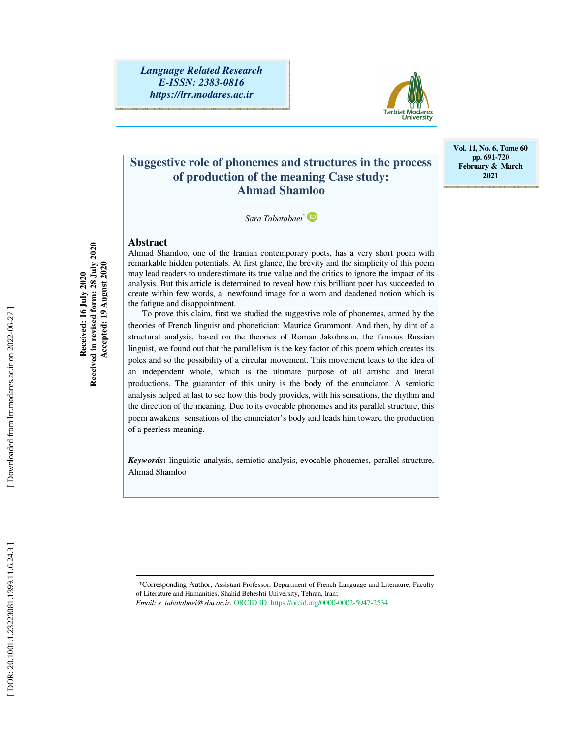

# **Suggestive role of phonemes and structures in the process of production of the meaning Case study: Ahmad Shamloo**

**Vol. 11, No. 6, Tome 60 pp. 691-720 February & March 2021** 

*Sara Tabatabaei\** 

#### **Abstract**

**Received: 16 July 2020 Received in revised form: 28 July 2020 Accepted: 19 August 2020** 

Received: 16 July 2020<br>Received in revised form: 28 July 2020<br>Accepted: 19 August 2020

Ahmad Shamloo, one of the Iranian contemporary poets, has a very short poem with remarkable hidden potentials. At first glance, the brevity and the simplicity of this poem may lead readers to underestimate its true value and the critics to ignore the impact of its analysis. But this article is determined to reveal how this brilliant poet has succeeded to create within few words, a newfound image for a worn and deadened notion which is the fatigue and disappointment.

To prove this claim, first we studied the suggestive role of phonemes, armed by the theories of French linguist and phonetician: Maurice Grammont. And then, by dint of a structural analysis, based on the theories of Roman Jakobnson, the famous Russian linguist, we found out that the parallelism is the key factor of this poem which creates its poles and so the possibility of a circular movement. This movement leads to the idea of an independent whole, which is the ultimate purpose of all artistic and literal productions. The guarantor of this unity is the body of the enunciator. A semiotic analysis helped at last to see how this body provides, with his sensations, the rhythm and the direction of the meaning. Due to its evocable phonemes and its parallel structure, this poem awakens sensations of the enunciator's body and leads him toward the production of a peerless meaning.

*Keywords* **:** linguistic analysis, semiotic analysis, evocable phonemes, parallel structure, Ahmad Shamloo

\* Corresponding Author, Assistant Professor, Department of French Language and Literature, Faculty of Literature and Humanities, Shahid Beheshti University, Tehran, Iran; *Email: s\_tabatabaei@sbu.ac.ir*, ORCID ID: https://orcid.org/0000-0002-5947-2534

ــــــــــــــــــــــــــــــــــــــــــــــــــــــــــــــــــــــــــــــــــــــــــــــــــــــــــــــــــــــــــــــــــــــــــ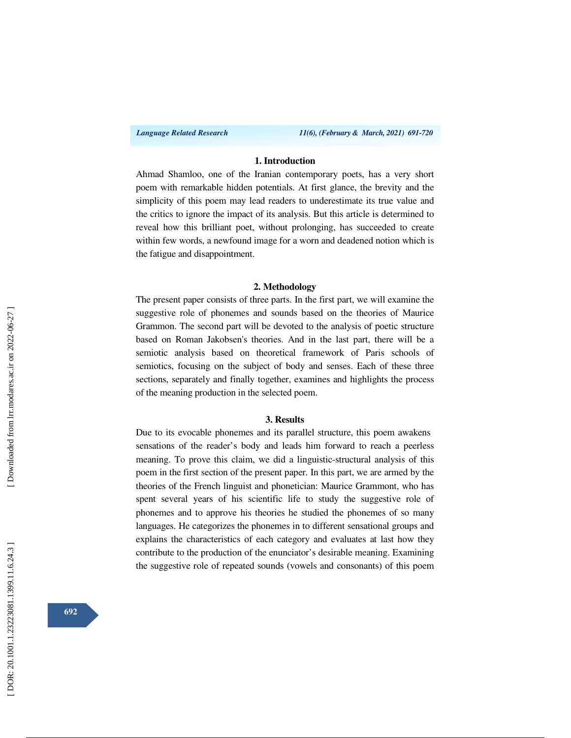#### **1. Introduction**

Ahmad Shamloo, one of the Iranian contemporary poets, has a very short poem with remarkable hidden potentials. At first glance, the brevity and the simplicity of this poem may lead readers to underestimate its true value and the critics to ignore the impact of its analysis. But this article is determined to reveal how this brilliant poet, without prolonging, has succeeded to create within few words, a newfound image for a worn and deadened notion which is the fatigue and disappointment.

#### **2. Methodology**

The present paper consists of three parts. In the first part, we will examine the suggestive role of phonemes and sounds based on the theories of Maurice Grammon. The second part will be devoted to the analysis of poetic structure based on Roman Jakobsen's theories. And in the last part, there will be a semiotic analysis based on theoretical framework of Paris schools of semiotics, focusing on the subject of body and senses. Each of these three sections, separately and finally together, examines and highlights the process of the meaning production in the selected poem.

#### **3. Results**

Due to its evocable phonemes and its parallel structure, this poem awakens sensations of the reader's body and leads him forward to reach a peerless meaning. To prove this claim, we did a linguistic-structural analysis of this poem in the first section of the present paper. In this part, we are armed by the theories of the French linguist and phonetician: Maurice Grammont, who has spent several years of his scientific life to study the suggestive role of phonemes and to approve his theories he studied the phonemes of so many languages. He categorizes the phonemes in to different sensational groups and explains the characteristics of each category and evaluates at last how they contribute to the production of the enunciator's desirable meaning. Examining the suggestive role of repeated sounds (vowels and consonants) of this poem

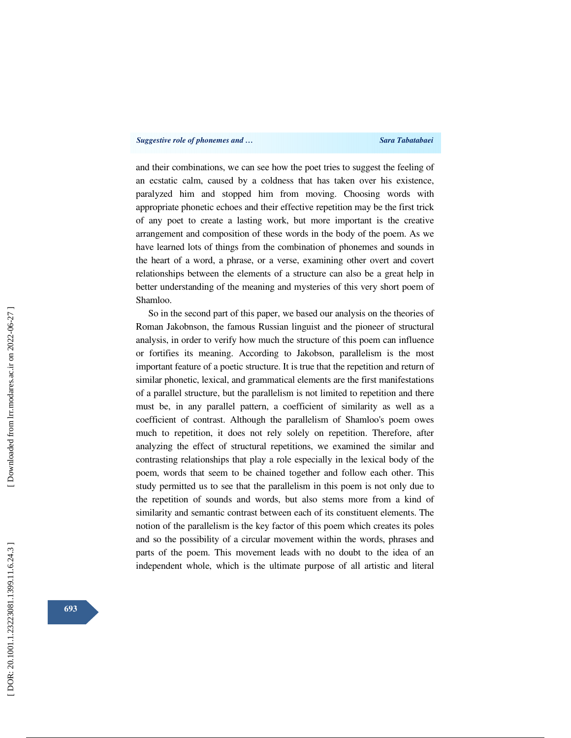and their combinations, we can see how the poet tries to suggest the feeling of an ecstatic calm, caused by a coldness that has taken over his existence, paralyzed him and stopped him from moving. Choosing words with appropriate phonetic echoes and their effective repetition may be the first trick of any poet to create a lasting work, but more important is the creative arrangement and composition of these words in the body of the poem. As we have learned lots of things from the combination of phonemes and sounds in the heart of a word, a phrase, or a verse, examining other overt and covert relationships between the elements of a structure can also be a great help in better understanding of the meaning and mysteries of this very short poem of Shamloo.

So in the second part of this paper, we based our analysis on the theories of Roman Jakobnson, the famous Russian linguist and the pioneer of structural analysis, in order to verify how much the structure of this poem can influence or fortifies its meaning. According to Jakobson, parallelism is the most important feature of a poetic structure. It is true that the repetition and return of similar phonetic, lexical, and grammatical elements are the first manifestations of a parallel structure, but the parallelism is not limited to repetition and there must be, in any parallel pattern, a coefficient of similarity as well as a coefficient of contrast. Although the parallelism of Shamloo's poem owes much to repetition, it does not rely solely on repetition. Therefore, after analyzing the effect of structural repetitions, we examined the similar and contrasting relationships that play a role especially in the lexical body of the poem, words that seem to be chained together and follow each other. This study permitted us to see that the parallelism in this poem is not only due to the repetition of sounds and words, but also stems more from a kind of similarity and semantic contrast between each of its constituent elements. The notion of the parallelism is the key factor of this poem which creates its poles and so the possibility of a circular movement within the words, phrases and parts of the poem. This movement leads with no doubt to the idea of an independent whole, which is the ultimate purpose of all artistic and literal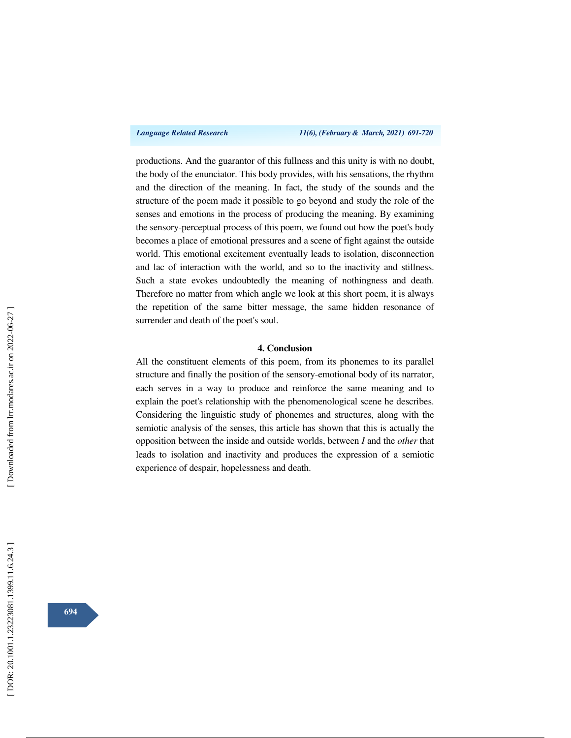productions. And the guarantor of this fullness and this unity is with no doubt, the body of the enunciator. This body provides, with his sensations, the rhythm and the direction of the meaning. In fact, the study of the sounds and the structure of the poem made it possible to go beyond and study the role of the senses and emotions in the process of producing the meaning. By examining the sensory-perceptual process of this poem, we found out how the poet's body becomes a place of emotional pressures and a scene of fight against the outside world. This emotional excitement eventually leads to isolation, disconnection and lac of interaction with the world, and so to the inactivity and stillness. Such a state evokes undoubtedly the meaning of nothingness and death. Therefore no matter from which angle we look at this short poem, it is always the repetition of the same bitter message, the same hidden resonance of surrender and death of the poet's soul.

### **4. Conclusion**

All the constituent elements of this poem, from its phonemes to its parallel structure and finally the position of the sensory-emotional body of its narrator, each serves in a way to produce and reinforce the same meaning and to explain the poet's relationship with the phenomenological scene he describes. Considering the linguistic study of phonemes and structures, along with the semiotic analysis of the senses, this article has shown that this is actually the opposition between the inside and outside worlds, between *I* and the *other* that leads to isolation and inactivity and produces the expression of a semiotic experience of despair, hopelessness and death.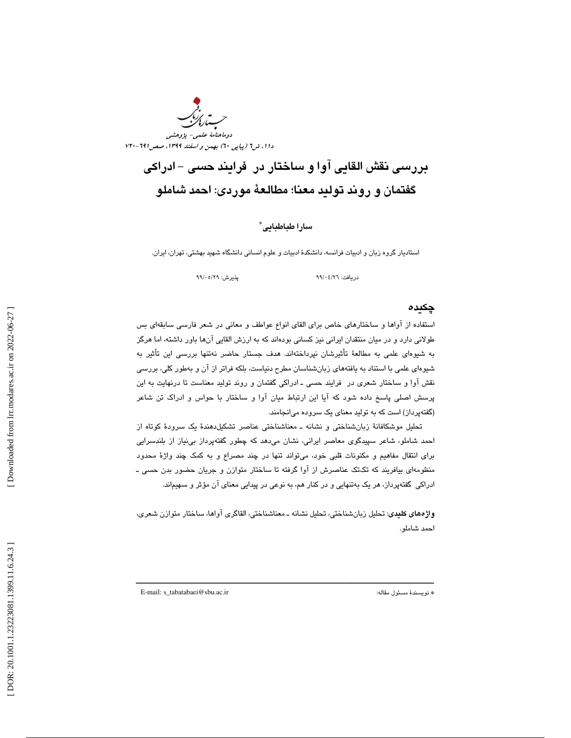

# بررسي نقش القاي ي آوا و ساختار در فرايند حسي - ادراكي گفتمان و روند توليد معنا ؛ مطالعة موردي: احمد شاملو

## سارا طباطبايي<sup>\*</sup>

استاديار گروه زبان و ادبيات فرانسه، دانشكدة ادبيات و علوم انساني دانشگاه شهيد بهشتي ، تهران، ايران.

دريافت: 26/ 04/ 99 پذيرش: 29/ 05/ 99

### چكيده

استفاده از آواها و ساختارهاي خاص براي القاي انواع عواطف و معاني در شعر فارسي سابقهاي بس طولاني دارد و در ميان منتقدان ايراني نيز كساني بودهاند كه به ارزش القايي آنها باور داشته ، اما هرگز به شيوهای علمی به مطالعهٔ تأثیرشان نپرداختهاند. هدف جستار حاضر نهتنها بررسی این تأثیر به شيوهاي علمي با استناد به يافتههاي زبانشناسان مطرح دنياست، بلكه فراتر از آن و بهطور كلي، بررسي نقش آوا و ساختار شعري در فرايند حسي ـ ادراكي گفتمان و روند توليد معناست تا درنهايت به اين پرسش اصلي پاسخ داده شود كه آيا اين ارتباط ميان آوا و ساختار با حواس و ادراك تن شاعر (گفتهپرداز) است كه به توليد معناي يك سروده ميانجامند.

تحليل موشكافانة زبانشناختي و نشانه ـ معناشناختي عناصر تشكيلدهندة يك سرودة كوتاه از احمد شاملو، شاعر سپیدگوی معاصر ایرانی، نشان میدهد که چطور گفتهپرداز بینیاز از بلندسرایی براي انتقال مفاهيم و مكنونات قلبي خود، ميتواند تنها در چند مصراع بو ه كمك چند واژة محدود منظومهای بیافریند که تکتک عناصرش از اوا گرفته تا ساختار متوازن و جریان حضور بدن حسی ـ ادراكي گفتهپرداز، هر يك بهتنهايي و در كنار هم، به نوعي در پيدايي معناي آن مؤثر و سهيماند.

واژههاي كليدي: تحليل زبانشناختي، تحليل نشانه ـ معناشناختي، القاگري آواها، ساختار متوازن شعري، احمد شاملو .

ــــــــــــــــــــــــــــــــــــــــــــــــــــــــــــــــــــــــــــــــــــــــــــــــــــــــــــــــــــــــــــــــــــــــــ

E-mail: s\_tabatabaei@sbu.ac.ir :مقاله مسئول نويسندة\*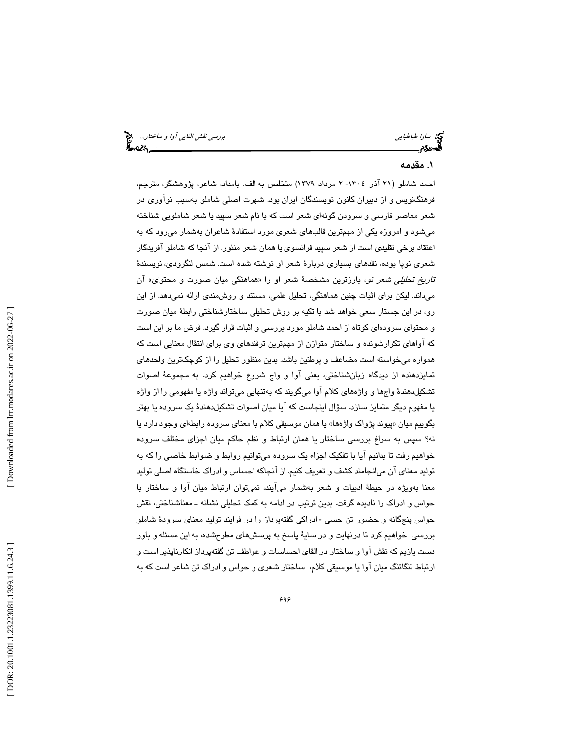سي القاي*ي آوا و ساختار...*<br>سارا *طباطبايي*<br>**همدد؟م بررسي بررسي نقش القائيلي بررسي نقش القايي آوا و ساختار...** 

# 1. مقدمه

احمد شاملو (۲۱ آذر ۱۳۰٤- ۲ مرداد ۱۳۷۹) متخلص به الف. بامداد، شاعر، پژوهشگر، مترجم، فره نگنويس و از دبيران كانون نويسندگان ايران بود . شهرت اصلي شاملو بهسبب نوآوري در شعر معاصر فارسي و سرودن گونهاي شعر است كه با نام شعر سپيد يا شعر شاملويي شناخته مي شود و امروزه يكي از مهمترين قالبهاي شعري مورد استفادهٔ شاعران بهشمار مي رود كه به اعتقاد برخي تقليدي است از شعر سپيد فرانسوي يا همان شعر منثور. از آنجا كه شاملو آفريدگار شعری نوپا بوده، نقدهای بسیاری دربارهٔ شعر او نوشته شده است. شمس لنگرودی، نویسندهٔ ت*اريخ تحليلي شعر نو*، بارزترين مشخصهٔ شعر او را «هماهنگي ميان صورت و محتواي» ان ميداند. ليكن براي اثبات چنين هماهنگي، تحليل علمي، مستند و روشمندي ارائه نميدهد. از اين ،رو در اين جستار سعي خواهد شد با تكيه بر روش تحليلي ساختارشناختي رابطة ميان صورت و محتواي سرودهاي كوتاه از احمد شاملو مورد بررسي و اثبات قرار گيرد. فرض ما بر اين است كه آواهاي تكرارشونده و ساختار متوازن از مهمترين ترفندهاي وي براي انتقال معنايي است كه همواره ميخواسته است مضاعف و پرطنين باشد. بدين منظور تحليل را از كوچكترين واحدهاي تمايزدهنده از ديدگاه زبانشناختي، يعني آوا و واج شروع خواهيم كرد. به مجموعة اصوات تشكيلدهندة واجها و واژههاي كلام آوا ميگويند كه بهتنهايي ميتواند واژه يا مفهومي را از واژه یا مفهوم دیگر متمایز سازد. سؤال اینجاست که ایا میان اصىوات تشکیلدهندهٔ یک سروده یا بهتر بگوييم ميان «پيوند پژواک واژهها» يا همان موسيقى کلام با معناى سروده رابطهاى وجود دارد يا نه؟ سپس به سراغ بررسی ساختار یا همان ارتباط و نظم حاکم میان اجزای مختلف سروده خواهيم رفت تا بدانيم آيا با تفكيك اجزاء يك سروده ميتوانيم روابط و ضوابط خاصي را كه به توليد معناي آن ميانجامند كشف و تعريف كنيم. از آنجاكه احساس و ادراك خاستگاه اصلي توليد معنا بهويژه در حيطهٔ ادبيات و شعر بهشمار ميآيند، نميتوان ارتباط ميان آوا و ساختار با حواس و ادراك را ناديده گرفت. بدين ترتيب در ادامه به كمك تحليلي نشانه ـ معناشناختي، نقش حواس پنجگانه و حضور تن حسى -ادراكى گفتهپرداز را در فرايند توليد معناى سرودهٔ شاملو بررسي خواهيم كرد تا درنهايت و در ساية پاسخ به پرسشهاي مطرحشده، به اين مسئله و باور دست يازيم كه نقش آوا و ساختار در القاي احساسات و عواطف تن گفتهپرداز انكارناپذير است و ارتباط تنگاتنگ ميان آوا يا موسيقي كلام، ساختار شعري و حواس و ادراك تن شاعر است كه به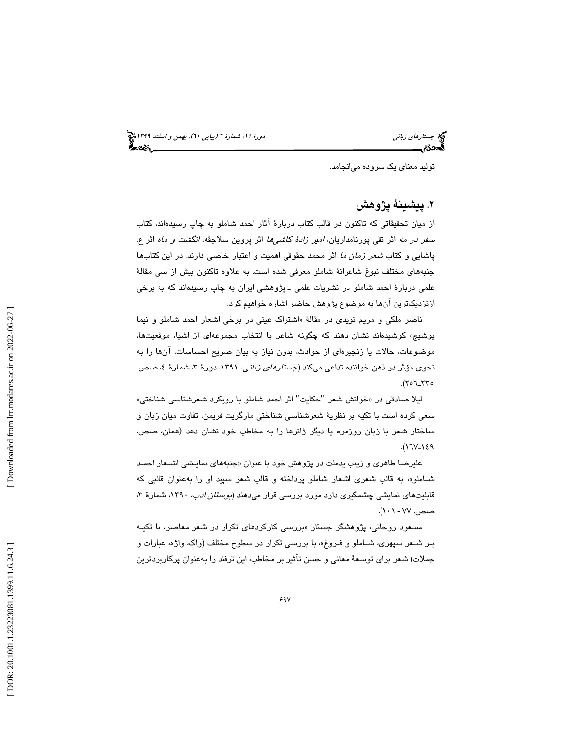جستار*هاي زباني (بياپي 60)، بهمن و اسفند 1*398 هجرا بياني دورة 11، شمارة 1 (پياپي ٢٠)، بهم*ن و اسفند 1*394 هج

توليد معناي يك سروده ميانجامد.

# . پيشينة پژوهش 2

از ميان تحقيقاتی كه تاكنون در قالب كتاب دربارهٔ آثار احمد شاملو به چاپ رسيدهاند، كتاب سف*ر در مه* اثر تقی پورنامداریان، *امیر زادهٔ کاشیها* اثر پروین سلاجقه، *انگشت و ماه* اثر ع. پاشايي و كتاب *شعر زمان ما* اثر محمد حقوقي اهميت و اعتبار خاصـي دارند. در اين كتابها جنبههاي مختلف نبوغ شاعرانة شاملو معرفي شده است. به علاوه تاكنون بيش از سي مقالة علمي دربارهٔ احمد شاملو در نشريات علمي ـ پژوهشي ايران به چاپ رسيدهاند كه به برخي ازنزديكترين آنها به موضوع پژوهش حاضر اشاره خواهيم كرد.

ناصر ملکي و مريم نوي*دي* در مقالهٔ «اشتراک عيني در برخي اشعار احمد شاملو و نيما يوشيج » كوشيدهاند نشان دهند كه چگونه شاعر با انتخاب مجموعهاي از اشيا، موقعيتها، موضوعات، حالات يا زنجيرهاي از حوادث، بدون نياز به بيان صريح احساسات، آنها را به نحوی مؤثر در ذهن خواننده تداعی میکند (*جستارهای زبانی،* ۱۳۹۱، دورهٔ ۳، شمارهٔ ٤، صص. ۱۲۵–۲۵۲).

ليلا صادقي در «خوانش شعر "حكايت" اثر احمد شاملو با رويكرد شعرشناسي شناختي» سعي كرده است با تكيه بر نظرية شعرشناسي شناختي مارگريت فريمن، تفاوت ميان زبان و ساختار شعر با زبان روزمره يا ديگر ژانرها را به مخاطب خود نشان دهد ( همان، صص.  $(17V_1)\xi$ 

عليرضا طاهری و زينب يدملت در پژوهش خود با عنوان «جنبههای نمايـش*ی* اشــعار احمـد شـاملو ،» به قالب شعري اشعار شاملو پرداخته و قالب شعر سپيد او را بهعنوان قالبي كه قابلیتهای نمایشی چشمگیری دارد مورد بررسی قرار میدهند (*بوستان ادب*، ۱۳۹۰، شمارهٔ ۳، صص. ۷۷ - ۰۱\).

مسعود روحانی، پژوهشگر جستار «بررسی كاركردهای تكرار در شعر معاصر، با تكيـه بـر شـعر سپهري، شــاملو و فـروغ»، با بررسي تكرار در سطوح مختلف (واك، واژه، عبارات و جملات) شعر براي توسعهٔ معاني و حسن تأثير بر مخاطب، اين ترفند را بهعنوان پركاربردترين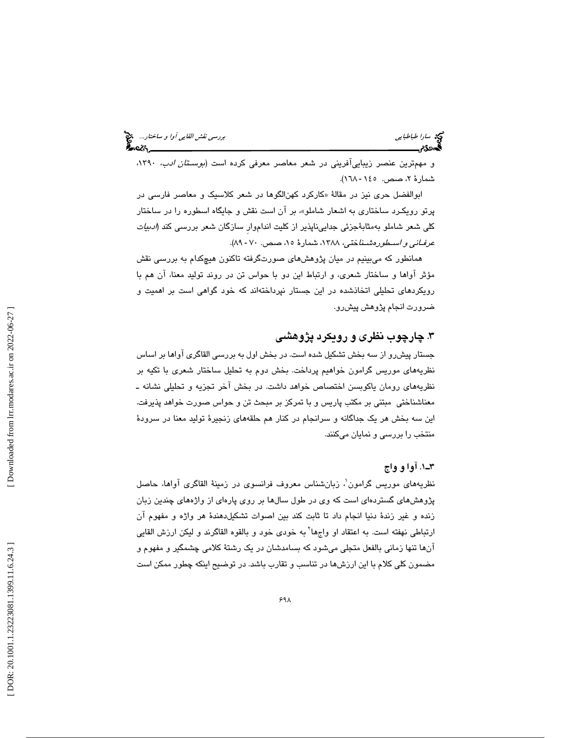| بررس <i>ی نقش القایی آوا و ساختار</i><br>پی <b>ن د</b> ر |  |
|----------------------------------------------------------|--|
|                                                          |  |

سي سار*ا طباطبايي*<br>**بهروي تص** 

و مهمترين عنصر زيباييآفريني در شعر معاصر معرفي كرده است (*بوسـتان ادب*، ١٣٩٠، شمارهٔ ۲، صص. ۱٤٥- ۱٦۸).

ابوالفضل حري نيز در مقالة «كاركرد كهنالگوها در شعر كلاسيك و معاصر فارسي در پرتو رويكـرد ساختار ي به اشعار شاملو ،» بر آن ا ست نقش و جايگاه اسطوره را در ساختار كلی شعر شاملو بهمثابهٔجزئی جداییناپذیر از كلیت انداموار سازگان شعر بررس*ی* كند *(ادبیات* عرفـان*ي و اسـطورهشـنا*ختي، ١٣٨٨، شمارهٔ ١٥، صص. ٧٠- ٨٩).

همانطور كه ميبينيم در ميان پژوهشهاي صورتگرفته تاكنون هيچكدام به بررسي نقش مؤثر آواها و ساختار شعري، و ارتباط اين دو با حواس تن در روند توليد معنا، آن هم با رويكردهاي تحليلي اتخاذشده در اين جستار نپرداختهاند كه خود گواهي است بر اهميت و ضرورت انجام پژوهش پيشرو.

# .3 چارچوب نظري و رويكرد پژوهشي

جستار پيشرو از سه بخش تشكيل شده است. در بخش اول به بررسي القاگري آواها بر اساس نظريههاي موريس گرامون خواهيم پرداخت. بخش دوم به تحليل ساختار شعري با تكيه بر نظريههاي رومان ياكوبسن اختصاص خواهد داشت. در بخش آخر تجزيه و تحليلي نشانه ـ معناشناختي مبتني بر مكتب پاريس و با تمركز بر مبحث تن و حواس صورت خواهد پذيرفت. اين سه بخش هر يك جداگانه و سرانجام در كنار هم حلقههاي زنجيرة توليد معنا در سرودة منتخب را بررسي و نمايان ميكنند.

# 1ـ3 . آوا و واج

نظريههاي موريس گرامون'. زبانشناس معروف فرانسوي در زمينهٔ القاگري آواها، حاصل پژوهشهای گستردهای است كه وی در طول سالها بر روی پارهای از واژههای چندین زبان زنده و غير زندهٔ دنيا انجام داد تا ثابت كند بين اصوات تشكيلدهندهٔ هر واژه و مفهوم آن ارتباطی نهفته است. به اعتقاد او واجها<sup>۲</sup> به خودی خود و بالقوه القاگرند و لیکن ارزش القایی آنها تنها زماني بالفعل متجلي ميشود كه بسامدشان در يك رشتة كلامي چشمگير و مفهوم و مضمون كلي كلام با اين ارزشها در تناسب و تقارب باشد. در توضيح اينكه چطور ممكن است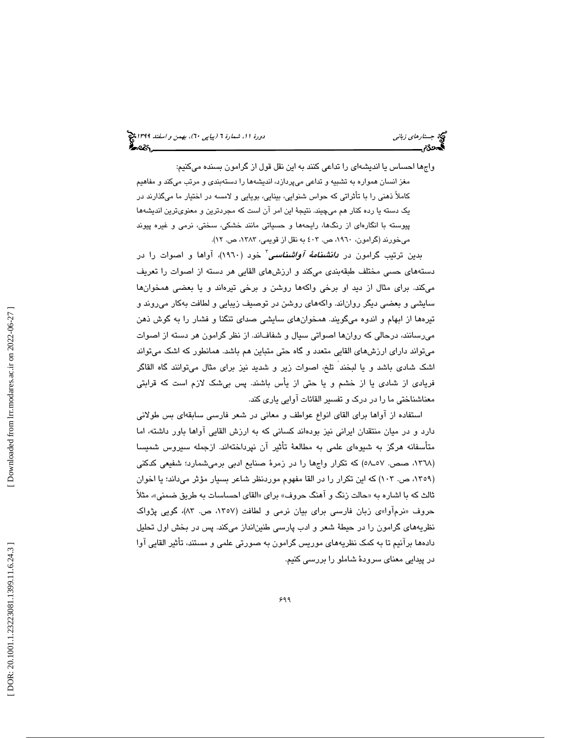واجها احساس يا انديش هاي را تداعي كنند به اين نقل قول از گرامون بسنده ميكنيم: مغز انسان همواره به تشبيه و تداعي ميپردازد، انديشهها را دستهبندي و مرتب ميكند و مفاهيم كاملاً ذهني را با تأثراتي كه حواس شنوايي، بينايي، بويايي و لامسه در اختيار ما ميگذارند در يک دسته يا رده كنار هم ميچيند. نتيجهٔ اين امر آن است كه مجردترين و معنوىترين انديشهها پيوسته با انگارهاي از رنگها، رايحهها و حسياتي مانند خشكي، سختي، نرمي و غيره پيوند میخورند (گرامون، ١٩٦٠، ص. ٤٠٢ به نقل از قويمي، ١٣٨٣، ص. ١٢).

بدين ترتيب گرامون در *دانشنا<i>مهٔ آواشناسي* **ً** خود (١٩٦٠)، آواها و اصوات را در دستههاي حسي مختلف طبقهبندي ميكند و ارزشهاي القايي هر دسته از اصوات را تعريف ميكند. براي مثال از ديد او برخي واكهها روشن و برخي تيرهاند و يا بعضي همخوانها سايشي و بعضي ديگر رواناند. واكههاي روشن در توصيف زيبايي و لطافت بهكار ميروند و تيرهها از ابهام و اندوه ميگويند. همخوانهاي سايشي صداي تنگنا و فشار را به گوش ذهن میرسانند، درحالی که روانها اصواتی سیال و شفافاند. از نظر گرامون هر دسته از اصوات ميتواند داراي ارزشهاي القايي متعدد و گاه حتي متباين هم باشد. همانطور كه اشك ميتواند اشک شادی باشد و یا لبخند ْ تلخ، اصوات زیر و شدید نیز برای مثال میتوانند گاه القاگر فريادي از شادي يا از خشم و يا حتي از يأس باشند. پس بيشك لازم است كه قرابتي معناشناختي ما را در درك و تفسير القائات آوايي ياري كند.

استفاده از آواها براي القاي انواع عواطف و معاني در شعر فارسي سابقهاي بس طولاني دارد و در ميان منتقدان ايراني نيز بودهاند كساني كه به ارزش القايي آواها باور داشته، اما متاسفانه هرگز به شیوهای علمی به مطالعهٔ تاثیر ان نپرداختهاند. ازجمله سیروس شمیسا (١٣٦٨، صص. ٥٧-٥٨) كه تكرار واڄها را در زمرهٔ صنايع ادبي برميشمارد؛ شفيعي كدكني (۱۳۰۹، ص. ۱۰۳) كه اين تكرار را در القا مفهوم موردنظر شاعر بسيار مؤثر مىداند؛ يا اخوان ثالث كه با اشاره به «حالت زنگ و اهنگ حروف» براي «القاي احساسات به طريق ضمني»، مثلاً حروف «نرم|وا»ی زبان فارسی برای بیان نرمی و لطافت (۱۳۵۷، ص. ۸۳)، گویی پژواک نظريههاي گرامون را در حيطة شعر و ادب پارسي طنينانداز ميكند. پس در بخش اول تحليل دادهها برانيم تا به كمک نظريههای موريس گرامون به صورتی علمی و مستند، تأثیر القایی اوا در پيدايي معناي سرودة شاملو را بررسي كنيم.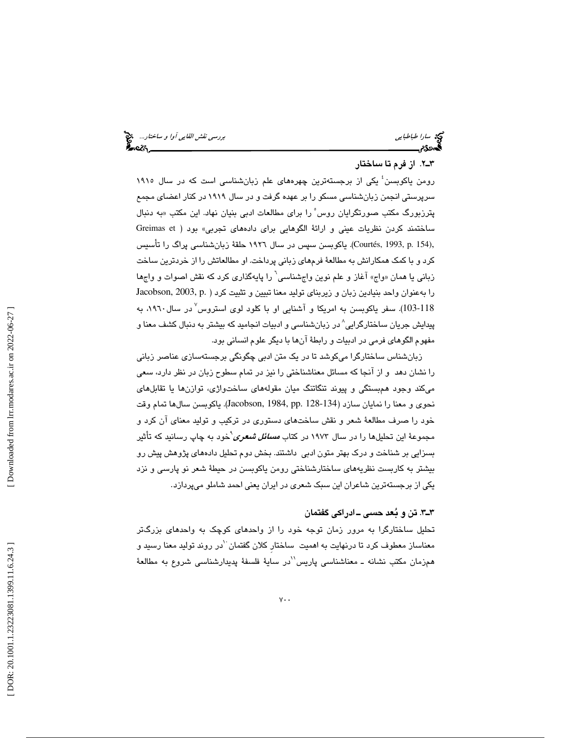سارا طباطبايي بررسي نقش القايي آوا و ساختار...

#### . 2ـ3 از فرم تا ساختار

رومن یاکوبسن<sup>؛</sup> یکی از برجستهترین چهرههای علم زبانشناسی است که در سال ۱۹۱۰ سرپرستي انجمن زبانشناسي مسكو را بر عهده گرفت و در سال 1919 در كنار اعضاي مجمع پترزبورگ مكتب صورتگرايان روس ْ را براى مطالعات ادبى بنيان نهاد. اين مكتب «به دنبال ساختمند كردن نظريات عيني و ارائهٔ الگوهايي براي دادههاي تجربي» بود ( Greimas et ,Courtés, 1993, p. 154). ياكوبسن سپس در سال ۱۹۲۲ حلقهٔ زبانشناسی پراگ را تأسيس كرد و با كمك همكارانش به مطالعة فرمهاي زباني پرداخت. او مطالعاتش را از خردترين ساخت زبانی یا همان «واج» آغاز و علم نوین واجشناسی<sup>٬</sup> را پایهگذاری کرد که نقش اصوات و واجها را بهعنوان واحد بنيادين زبان و زيربناي توليد معنا تبيين و تثبيت كرد ( .p 2003, ,Jacobson 103-118). سفر یاکوبسن به امریکا و آشنایی او با کلود لوی استروس<sup>۷</sup>در سال۱۹۲۰، به پيدايش جريان ساختارگرايي^ در زبانشناسي و ادبيات انجاميد كه بيشتر به دنبال كشف معنا و مفهوم الگوهاي فرمي در ادبيات و رابطة آنها با ديگر علوم انساني بود.

زبانشناس ساختارگرا ميكوشد تا در يك متن ادبي چگونگي برجستهسازي عناصر زباني را نشان دهد و از آنجا كه مسائل معناشناختي را نيز در تمام سطوح زبان در نظر دارد، سعي ميكند وجود همبستگي و پيوند تنگاتنگ ميان مقولههاي ساختواژي، توازنها يا تقابلهاي نحوي و معنا را نمايان سازد (128-134 .pp 1984, ,Jacobson . (ياكوبسن سالها تمام وقت خود را صرف مطالعة شعر و نقش ساختهاي دستوري در تركيب و توليد معناي آن كرد و مجموعهٔ این تحلیلها را در سال ۱۹۷۳ در کتاب *مسائل شعری*`خود به چاپ رسانید که تأثیر بسزايي بر شناخت و درك بهتر متون ادبي داشتند. بخش دوم تحليل دادههاي پژوهش پيش رو بيشتر به كاربست نظريههاي ساختارشناختي رومن ياكوبسن در حيط ة شعر نو پارسي و نزد يكي از برجستهترين شاعران اين سبك شعري در ايران يعني احمد شاملو ميپردازد .

## . 3ـ3 تن و بعد حسي ـ ادراكي گفتمان

تحليل ساختارگرا به مرور زمان توجه خود را از واحدهاي كوچك به واحدهاي بزرگتر معناساز معطوف كرد تا درنهايت به اهميت ساختار كلان گفتمان لدر روند توليد معنا رسيد و همزمان مكتب نشانه ــ معناشناسى پاريس<sup>יי</sup>در سايهٔ فلسفهٔ پديدارشناسى شروع به مطالعهٔ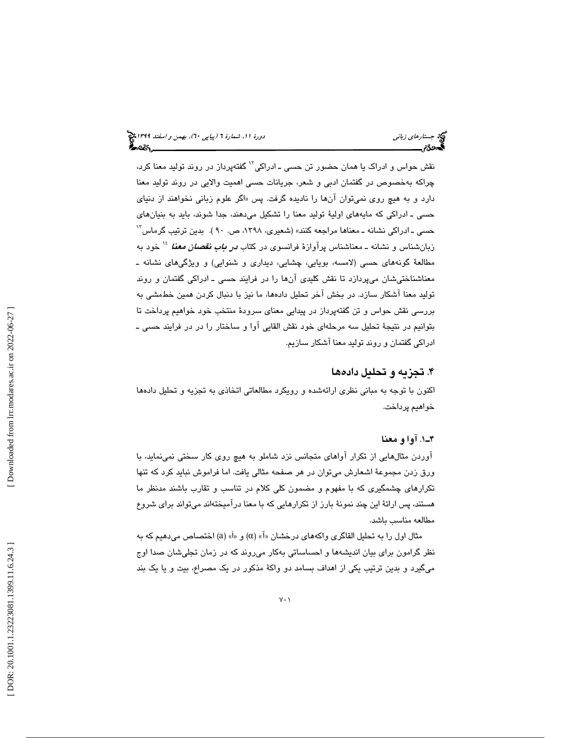نقش حواس و ادراک يا همان حضور تن حسي ــ ادراکي<sup>۱۲</sup> گفتهپرداز در روند توليد معنا کرد، چراكه بهخصوص در گفتمان ادبي و شعر، جريانات حسي اهميت والايي در روند توليد معنا دارد و به هيچ روی نميتوان انها را ناديده گرفت. پس «اگر علوم زباني نخواهند از دنياي حسي ـ ادراكي كه مايههاي اولية توليد معنا را تشكيل ميدهند، جدا شوند، بايد به بنيانهاي حسي ـ ادراكي نشانه ـ معناها مراجعه كنند» (شعيري، ١٣٩٨، ص. ٩٠ ). بدين ترتيب گرماس<sup>١٢</sup> زبانشناس و نشانه ــ معناشناس پرآوازهٔ فرانسوی در کتاب *در باب نقصان معنا* <sup>۱۶</sup> خود به مطالعة گونههاي حسي (لامسه، بويايي، چشايي، ديداري و شنوايي) و ويژگيهاي نشانه ـ معناشناختیشان میپردازد تا نقش کلیدی انها را در فرایند حسی ـ ادراکی گفتمان و روند توليد معنا آشكار سازد. در بخش آخر تحليل دادهها، ما نيز با دنبال كردن همين خطمشي به بررسي نقش حواس و تن گفتهپرداز در پيدايي معناي سرودة منتخب خود خواهيم پرداخت تا بتوانيم در نتيجهٔ تحليل سه مرحلهای خود نقش القايی اوا و ساختار را در در فرايند حسی ــ ادراكي گفتمان و روند توليد معنا آشكار سازيم.

# ۴. تجزيه و تحليل دادهها

اكنون با توجه به مباني نظري ارائهشده و رويكرد مطالعاتي اتخاذي به تجزيه و تحليل دادهها خواهيم پرداخت.

#### . 1ـ4 آوا و معنا

آوردن مثالهايي از تكرار آواهاي متجانس نزد شاملو به هيچ روي كار سختي نمينمايد، با ورق زدن مجموعة اشعارش ميتوان در هر صفحه مثالي يافت. اما فراموش نبايد كرد كه تنها تكرارهاي چشمگيري كه با مفهوم و مضمون كلي كلام در تناسب و تقارب باشند مدنظر ما هستند، پس ارائة اين چند نمونة بارز از تكرارهايي كه با معنا درآميختهاند ميتواند براي شروع مطالعه مناسب باشد.

مثال اول را به تحليل القاگرى واكههاى درخشان «آ» (α) و «أ» (a) اختصاص مىدهيم كه به نظر گرامون براي بيان انديشهها و احساساتي بهكار ميروند كه در زمان تجليشان صدا اوج ميگيرد و بدين ترتيب يكي از اهداف بسامد دو واكة مذكور در يك مصراع، بيت و يا يك بند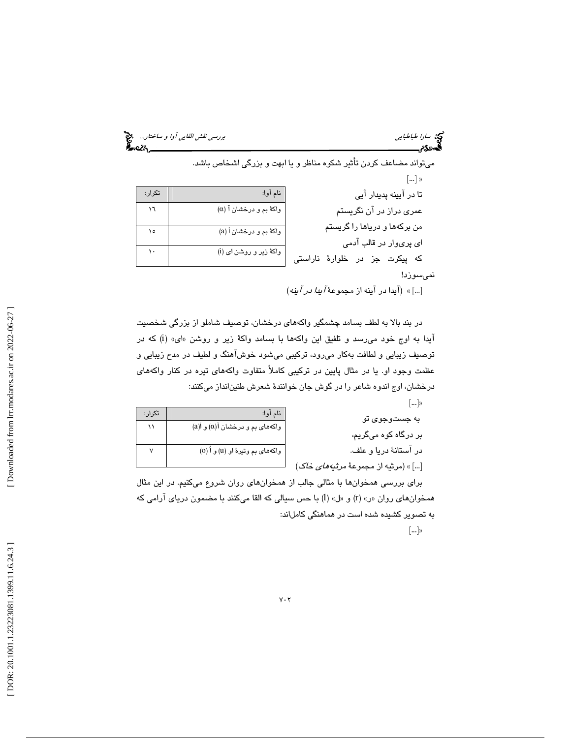سي القاي*ي آوا و ساختار...*<br>سارا طباطبايي<br>**همدددم بررسي بررسي نقش القائيلي بررسي نقش القايي آوا و ساختار...** 

 $\mathcal{M}$ 

 ميتواند مضاعف كردن تأثير شكوه مناظر و يا ابهت و بزرگي اشخاص باشد.  $[...]$  » نام آوا: تكرار: تا در آيينه پديدار آيي عمري دراز در آن نگريستم من بركهها و درياها را گريستم اي پريوار در قالب آدمي كه پيكرت جز در خلوارة ناراستي نميسوزد ! واكة بم و درخشان آ (α  $\sqrt{5}$  ( واكة بم و درخشان أ (a)  $\mathcal{N}$  ( واكة زير و روشن اي (i

» ]...[ (آيدا در آينه از مجموعة آيدا در آينه )

در بند بالا به لطف بسامد چشمگير واكههاي درخشان، توصيف شاملو از بزرگي شخصيت آيدا به اوج خود مي رسد و تلفيق اين واكهها با بسامد واكهٔ زير و روشن «اى» (i) كه در توصيف زيبايي و لطافت بهكار ميرود، تركيبي ميشود خوشآهنگ و لطيف در مدح زيبايي و عظمت وجود او. يا در مثال پايين در تركيبي كاملاً متفاوت واكههاي تيره در كنار واكههاي درخشان، اوج اندوه شاعر را در گوش جان خوانندة شعرش طنينانداز ميكنند:

|  |  |  | ÷ |
|--|--|--|---|
|--|--|--|---|

| به جستوجوی تو                                              | نام آوا:                              | تكرار: |
|------------------------------------------------------------|---------------------------------------|--------|
|                                                            | $(a)$ واکههای بم و درخشان آ $(a)$ و آ |        |
| بر درگاه کوه میگریم،                                       |                                       |        |
| در آستانهٔ دریا و علف.                                     | واکههای بم وتیرهٔ او (u) و اُ (o)     |        |
| […] » (مرثيه از مجموعهٔ <i>مرث<mark>ن</mark>ههای خاک</i> ) |                                       |        |

براي بررسي همخوانها با مثالي جالب از همخوان هاي روان شروع ميكنيم. در اين مثال همخوانهای روان «ر» (r) و «ل» (l) با حس سیالی که القا میکنند با مضمون دریای آرامی که به تصویر کشیده شده است در هماهنگی کاملاند:

 $\lceil ... \rceil$ 

 [\[ DOR: 20.1001.1.23223081.1399.11.6.24](https://dorl.net/dor/20.1001.1.23223081.1399.11.6.24.3).3 ] [\[ Downloaded from lrr.modares.ac.ir on 20](https://lrr.modares.ac.ir/article-14-44490-fa.html)22-06-27 ] Downloaded from lrr.modares.ac.ir on 2022-06-27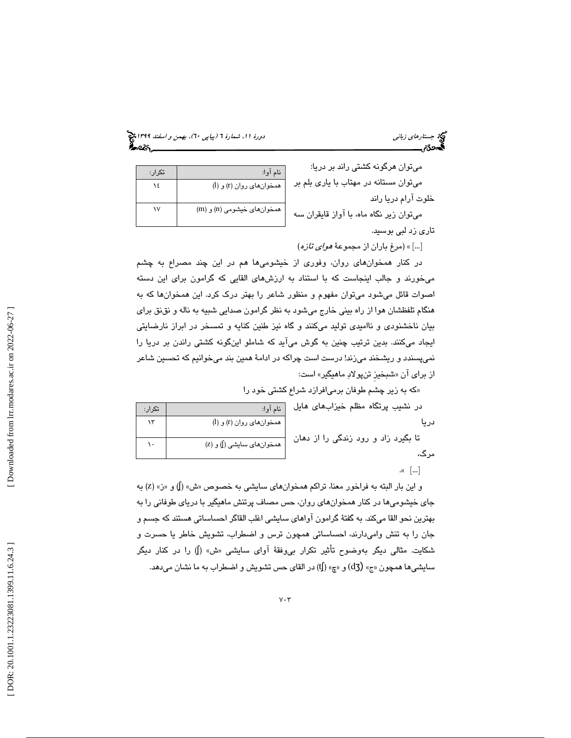جستار*هاي زباني (بياپي 60)، بهمن و اسفند 1*398 هجرا بياني دورة 11، شمارة 1 (پياپي ٢٠)، بهم*ن و اسفند 1*394 هج

| میتوان هرگونه کشتی راند بر دریا:        | نام آوا:                   | تكرار: |
|-----------------------------------------|----------------------------|--------|
| میتوان مستانه در مهتاب با یاری بلم بر   | همخوان های روان (r) و (l)  |        |
| ت آرام دریا راند                        |                            |        |
| میتوان زیر نگاه ماه، با آواز قایقران سه | همخوانهای خیشومی (n) و (m) |        |
| ن ذد لیے اللہ سید.                      |                            |        |

نام آوا: تكرار:

همخوانهاي روان (r (و (l

 $\gamma$ 

 $\mathcal{N}$ 

ميتوان زير نگاه ماه، با آواز قا تاري زد لبي بوسيد.

ميتوان هرگونه كشتي راند بر

خلوت آرام دريا راند

» ]...[ (مرغ باران از مجموعة هواي تازه)

در كنار همخوانهاي روان، وفوري از خيشوميها هم در اين چند مصراع به چشم ميخورند و جالب اينجاست كه با استناد به ارزشهاي القايي كه گرامون براي اين دسته اصوات قائل ميشود ميتوان مفهوم و منظور شاعر را بهتر درك كرد. اين همخوانها كه به هنگام تلفظشان هوا از راه بيني خارج ميشود به نظر گرامون صدايي شبيه به ناله و نقنق براي بيان ناخشنودي و نااميدي توليد ميكنند و گاه نيز طنين كنايه و تمسخر در ابراز نارضايتي ايجاد ميكنند. بدين ترتيب چنين به گوش ميآيد كه شاملو اينگونه كشتي راندن بر دريا را نميپسندد و ريشخند ميزند! درست است چراكه در ادامة همين بند ميخوانيم كه تحسين شاعر از برای ان «شبخيز تنپولادِ ماهيگير» است:

« كه به زير چشم طوفان برميافرازد شراع كشتي خود را

|  |  | در نشیب پرتگاه مظلم خیزابهای هایل |  |
|--|--|-----------------------------------|--|
|  |  |                                   |  |
|  |  | المتحامين والمتحامين والمتحامين   |  |

تا بگيرد زاد و رود زندگي را از دهان مرگ، ( z) و) ʃ همخوانهاي سايشي (

. $\mathbb{C}$   $\lceil \dots \rceil$ 

دريا

و اين بار البته به فراخور معنا، تراكم همخوانهاي سايشي به خصوص «ش» (√) و «ز» (Z) به جاي خيشوميها در كنار همخوانهاي روان، حس مصاف پرتنش ماهيگير با درياي طوفاني را به بهترين نحو القا ميكند. به گفت ة گرامون آواهاي سايشي اغلب القاگر احساساتي هستند كه جسم و جان را به تنش واميدارند، احساساتي همچون ترس و اضطراب، تشويش خاطر يا حسرت و شكايت. مثالي ديگر بهوضوح تأثير تكرار ب<u>ى</u>وفقهٔ آواى سايشى «ش» (**)** را در كنار ديگر سايشيها همچون «ج» (dʒ) و «چ» (tʃ) در القاي حس تشويش و اضطراب به ما نشان ميدهد.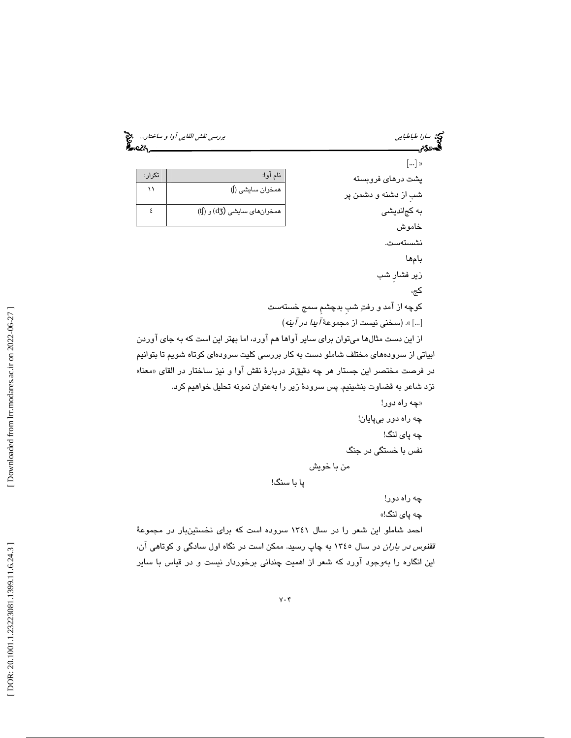سارا طباطبايي بررسي نقش القايي آوا و ساختار...

| تكرار: | نام آوا:                     |
|--------|------------------------------|
|        | همخوان سايشي ()              |
|        | همخوان های سایشی (d3) و (tf) |

 $[...]$  » پشت درهاي فروبسته شبِ از دشنه و دشمن پر به كجانديشي خاموش نشستهست. بام ها زير فشارِ شب كج، كوچه از آمد و رفت شبِ بدچشمِ سمج خستهست ]...[ ». (سخني نيست از مجموعة آيدا در آينه ) از اين دست مثالها ميتوان براي ساير آواها هم آورد، اما بهتر اين است كه به جاي آوردن ابياتي از سرودههاي مختلف شاملو دست به كار بررسي كليت سرودهاي كوتاه شويم تا بتوانيم در فرصت مختصر اين جستار هر چه دقيقتر دربارهٔ نقش آوا و نيز ساختار در القاي «معنا» نزد شاعر به قضاوت بنشينيم. پس سرودة زير را بهعنوان نمونه تحليل خواهيم كرد. «چه راه دور! چه راه دور بيپايان! چه پاي لنگ! نفس با خستگي در جنگ

پا با سنگ!

من با خويش

چه راه دور!

چه پا*ی* لنگ!»

احمد شاملو اين شعر را در سال 1341 سروده است كه براي نخستينبار در مجموعة قق*نوس در باران* در سال ١٣٤٥ به چاپ رسيد. ممكن است در نگاه اول سادگي و كوتاهي آن، اين انگاره را بەوجود اورد كه شعر از اهميت چندانى برخوردار نيست و در قياس با ساير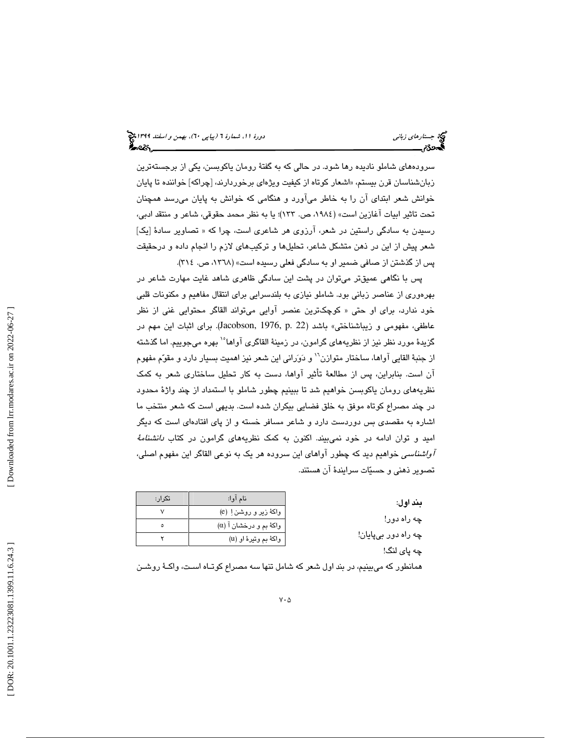سرودههاي شاملو ناديده رها شود. در حالي كه به گفتة رومان ياكوبسن، يكي از برجستهترين زبانشناسان قرن بيستم، «اشعار كوتاه از كيفيت ويژهاى برخوردارند، [چراكه] خواننده تا پايان خوانش شعر ابتداي آن را به خاطر ميآورد و هنگامي كه خوانش به پايان ميرسد همچنان تحت تاثير ابيات آغازين است» (،1984 ص. 133)؛ يا به نظر محمد حقوقي، شاعر و منتقد ادبي، رسيدن به سادگي راستين در شعر، آرزوي هر شاعري است، چرا كه « تصاوير سادة [يك] شعر پيش از اين در ذهن متشكل شاعر، تحليلها و تركيبهاي لازم را انجام داده و درحقيقت پس از گذشتن از صافي ضمير او به سادگي فعلي رسيده است ( » ،1368 ص. 314 .)

پس با نگاهي عميقتر ميتوان در پشت اين سادگي ظاهري شاهد غايت مهارت شاعر در بهرهوري از عناصر زباني بود. شاملو نيازي به بلندسرايي براي انتقال مفاهيم و مكنونات قلبي خود ندارد، براي او حتي « كوچكترين عنصر آوايي ميتواند القاگر محتوايي غني از نظر عاطفي، مفهومي و زيباشناختي» باشد (22 .p 1976, ,Jacobson(. براي اثبات اين مهم در گزيدهٔ مورد نظر نيز از نظريههاي گرامون، در زمينهٔ القاگري آواها<sup>ه ۱</sup> بهره ميجوييم. اما گذشته از جنبهٔ القايي آواها، ساختار متوازن<sup>٦</sup>' و دَوَراني اين شعر نيز اهميت بسيار دارد و مقوّم مفهوم آن است. بنابراين ، پس از مطالعة تأثير آواها، دست به كار تحليل ساختاري شعر به كمك نظريههاي رومان ياكوبسن خواهيم شد تا ببينيم چطور شاملو با استمداد از چند واژة محدود در چند مصراع كوتاه موفق به خلق فضايي بيكران شده است. بديهي است كه شعر منتخب ما اشاره به مقصدی بس دوردست دارد و شاعر مسافر خسته و از پای افتادهای است كه دیگر اميد و توان ادامه در خود نميبيند. اكنون به كمك نظريههاي گرامون در كتاب دانشنامة آواشناسي خواهيم ديد كه چطور آواهاي اين سروده هر يك به نوعي القاگر اين مفهوم اصلي، تصوير ذهني و حسيات سرايندة آن هستند .

> بند اول : چه راه دور! چه راه دور بيپايان! چه پاي لنگ!

| تكرار: | نام آوا:                       |
|--------|--------------------------------|
|        | واکهٔ زیر و روشن! (e)          |
|        | $(\alpha)$ واکهٔ بم و درخشان آ |
|        | واکهٔ بم وتیرهٔ او (u)         |

همانطور كه ميبينيم، در بند اول شعر كه شامل تنها سه مصراع كوتـاه اسـت ، واكـ ة روشـن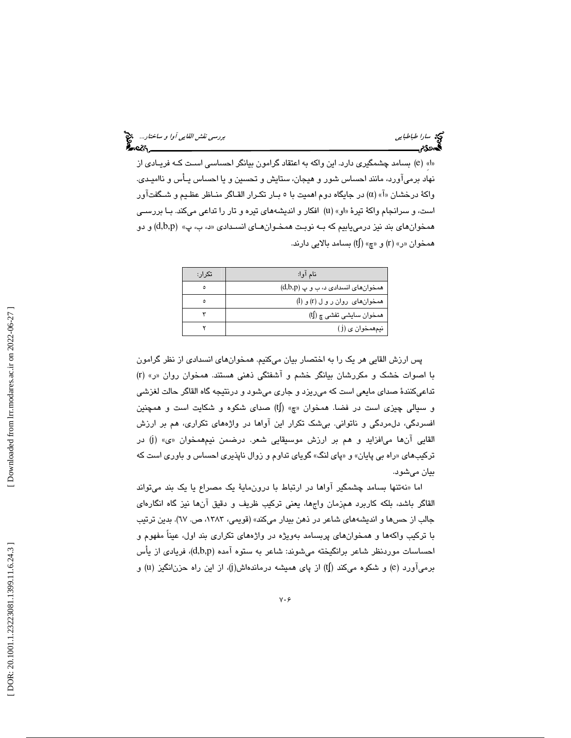بسامد چشمگيري دارد. اين واكه به اعتقاد گرامون بيانگر احساسي اسـت كـه فريـادي از ( e »ِا« ( نهاد برميآورد، مانند احساس شور و هيجان، ستايش و تحسين و يا احساس يـأس و نااميـدي. واكهٔ درخشان «آ» (α) در جايگاه دوم اهميت با ٥ بــار تكـرار القــاگر منــاظر عظـيم و شــگفتآور است، و سرانجام واكهٔ تيرهٔ «او» (u) افكار و انديشههاي تيره و تار را تداعي ميكند. بـا بررسـي همخوانهاي بند نيز درمي يابيم كه بـه نوبـت همخـوان هـاي انسـدادي «د، ب، پ» (d,b,p) و دو همخوان «ر» (r) و «چ» (tʃ) بسامد بالایی دارند.

| تکر ار : | نام آوا:                           |
|----------|------------------------------------|
| ٥        | همخوانهای انسدادی د، ب و پ (d,b,p) |
| Δ        | همخوانهای روان رول (r) و (l)       |
|          | همخوان سایشی تفشی چ (tʃ)           |
|          | نيمهمخوا <i>ن ی</i> (j)            |
|          |                                    |

پس ارزش القايي هر يك را به اختصار بيان ميكنيم. همخوانهاي انسدادي از نظر گرامون ( با اصوات خشك و مكررشان بيانگر خشم و آشفتگي ذهني هستند. همخوان روان ر« (» r تداعيكنندة صداي مايعي است كه ميريزد و جاري ميشود و درنتيجه گاه القاگر حالت لغزشي و سيالي چيزي است در فضا. همخوان «چ» (tʃ) صداي شكوه و شكايت است و همچنين افسردگي، دلمردگي و ناتواني. بيشك تكرار اين آواها در واژههاي تكراري، هم بر ارزش القايي آنها مي|فزايد و هم بر ارزش موسيقايي شعر. درضمن نيمهمخوان «ي» (j) در تركيبهاى «راه بى پايان» و «پاى لنگ» گوياى تداوم و زوال ناپذيرى احساس و باورى است كه بيان ميشود.

نهتنها بسامد چشمگير آواها در ارتباط با درونماية يك مصراع يا يك بند ميتواند اما « القاگر باشد، بلكه كاربرد همزمان واجها، يعني تركيب ظريف و دقيق آنها نيز گاه انگارهاي جالب از حسها و انديشههاي شاعر در ذهن بيدار ميكند» (قويمي، ،1383 ص. 67). بدين ترتيب با تركيب واكهها و همخوانهاي پربسامد بهويژه در واژههاي تكراري بند اول، عيناً مفهوم و احساسات موردنظر شاعر برانگيخته ميشوند: شاعر به ستوه آمده (d,b,p)، فريادي از يأس برمیآورد (e) و شکوه میکند (tʃ) از پای همیشه درماندهاش(j)، از این راه حزن|نگیز (u) و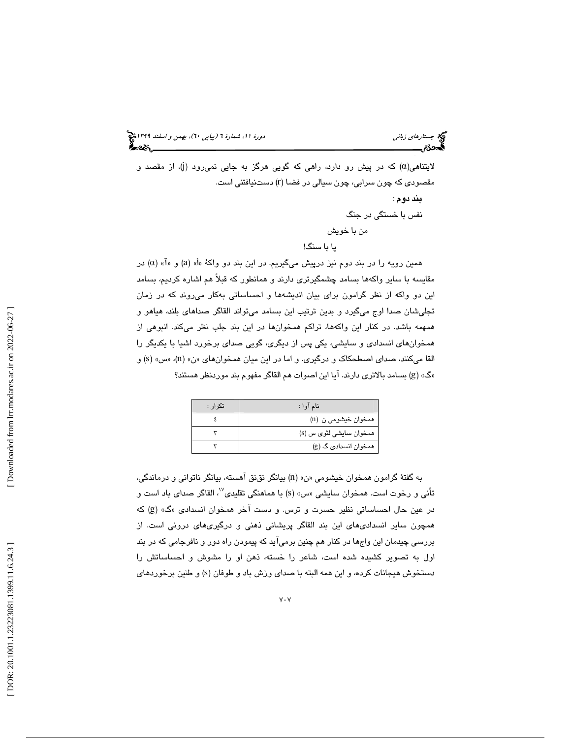لایتناهی $(\alpha)$  که در پیش رو دارد، راهی که گویی هرگز به جایی نمیرود (j)، از مقصد و مقصودی که چون سرابی، چون سیالی در فضا (r) دستنیافتنی است. بند دوم : نفس با خستگي در جنگ من با خويش یا با سنگ!

همين رويه را در بند دوم نيز درپيش ميگيريم. در اين بند دو واكهٔ «أَ» (a) و «آَ» (α) در مقايسه با ساير واكهها بسامد چشمگيرتري دارند و همانطور كه قبلاً هم اشاره كرديم، بسامد اين دو واكه از نظر گرامون براي بيان انديشهها و احساساتي بهكار ميروند كه در زمان تجليشان صدا اوج ميگيرد و بدين ترتيب اين بسامد ميتواند القاگر صداهاي بلند، هياهو و همهمه باشد. در كنار اين واكهها، تراكم همخوانها در اين بند جلب نظر ميكند. انبوهي از همخو انهاي انسدادي و سايشي، يكي پس از ديگري، گويي صداي برخورد اشيا با يكديگر را القا ميكنند، صداي اصطحكاك و درگيري. و اما در اين ميان همخوانهاي «ن» (n)، «س» (s) و ) بسامد بالاتري دارند. آيا اين اصوات هم القاگر مفهوم بند موردنظر هستند ؟ g ) « گ »

| تکر ار : | نام آوا :               |
|----------|-------------------------|
|          | همخوان خیشومی ن (n)     |
|          | همخوان سایشی لثوی س (s) |
|          | همخوان انسدادی گ (g)    |

به گفتة گرامون همخوان خيشومي ( »ن« n (بيانگر نقنق آهسته، بيانگر ناتواني و درماندگي، تأني و رخوت است. همخوان سايشي «س» (s) با هماهنگي تقليدي<sup>››</sup>، القاگر صداي باد است و در عين حال احساساتي نظير حسرت و ترس. و دست آخر همخوان انسدادي «گ» (g) كه همچون ساير انسداديهاي اين بند القاگر پريشاني ذهني و درگيريهاي دروني است. از بررسي چيدمان اين واجها در كنار هم چنين بر ميآيد كه پيمودن راه دور و نافرجامي كه در بند اول به تصوير كشيده شده است، شاعر را خسته، ذهن او را مشوش و احساساتش را دستخوش هيجانات كرده، و اين همه البته با صداي وزش باد و طوفان (s) و طنين برخوردهاي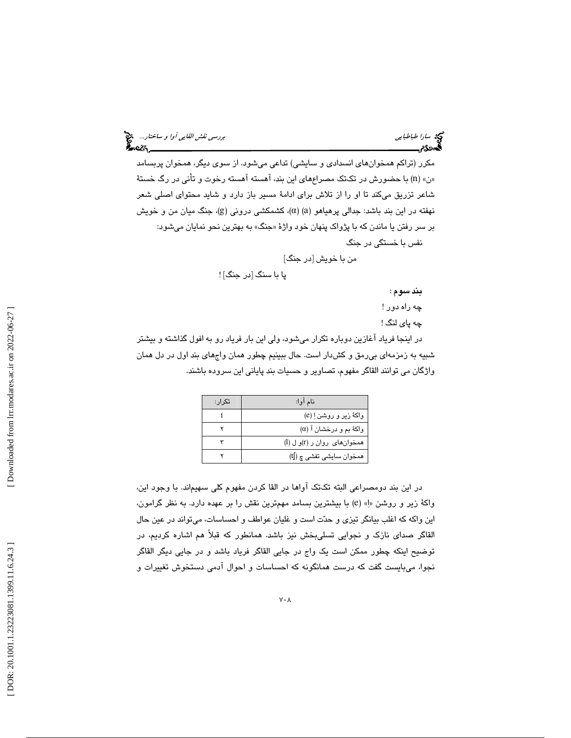مكرر (تراكم همخوانهاي انسدادي و سايشي) تداعي ميشود. از سوي ديگر ، همخوان پربسامد «ن» (n) با حضورش در تكتك مصراعِهاي اين بند، آهسته آهسته رخوت و تأني در رگ خستهٔ شاعر تزريق ميكند تا او را از تلاش براي ادامة مسير باز دارد و شايد محتواي اصلي شعر نهفته در اين بند باشد: جدالی پرهياهو (a) (a)، كشمكشى درونى (g)، جنگ ميان من و خويش بر سر رفتن يا ماندن كه با پژواك پنهان خود واژهٔ «جنگ» به بهترين نحو نمايان ميشود: نفس با خستگي در جنگ

من با خويش [در جنگ]

پا با سنگ [در جنگ] !

بند سوم :

چه راه دور !

چه پاي لنگ !

در اينجا فرياد آغازين دوباره تكرار ميشود ، ولي اين بار فرياد رو به افول گذاشته و بيشتر شبيه به زمزمهاي بيرمق و كشدار است. حال ببينيم چطور همان واجهاي بند اول در دل همان واژگان مي توانند القاگر مفهوم، تصاوير و حسيات بند پاياني اين سروده باشند.

| تکر ار : | نام آوا:                       |
|----------|--------------------------------|
|          | واکهٔ زیر و روشن!ِ (e)         |
|          | $(\alpha)$ واکهٔ بم و درخشان آ |
|          | همخوان های روان ر (r)و ل (l)   |
|          | همخوان سايشي تفشي چ (tʃ)       |

در اين بند دومصراعي البته تكتك اواها در القا كردن مفهوم كلي سهيماند. با وجود اين، واكهٔ زير و روشن «اِ» (e) با بيشترين بسامد مهمترين نقش را بر عهده دارد. به نظر گرامون، اين واكه كه اغلب بيانگر تيزي و حدت است و غليان عواطف و احساسات، ميتواند در عين حال لقاگر صداي نازك و نجوايي تسليبخش نيز باشد. همانطور كه قبلاً هم اشاره كرديم، در ا توضيح اينكه چطور ممكن است يك واج در جايي القاگر فرياد باشد و در جايي ديگر القاگر نجوا، ميبايست گفت كه درست همانگونه كه احساسات و احوال آدمي دستخوش تغييرات و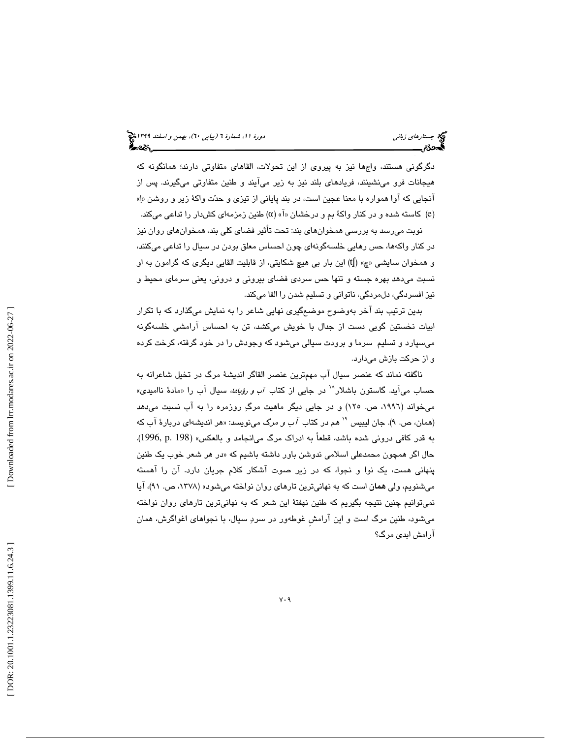دگرگوني هستند، واجها نيز به پيروي از اين تحولات، القاهاي متفاوتي دارند؛ همانگونه كه هيجانات فرو مينشينند، فريادهاي بلند نيز به زير ميآيند و طنين متفاوتي ميگيرند. پس از آنجايي كه آوا همواره با معنا عجين است، در بند پاياني از تيزي و حدت واكة زير و روشن »ا» (e) کاسته شده و در کنار واکهٔ بم و درخشان «آ» (α) طنین زمزمهای کشدار را تداعی میکند.

نوبت میرسد به بررسی همخوانهای بند: تحت تاثیر فضای کلی بند، همخوانهای روان نیز در كنار واكهها، حس رهايي خلسهگونهاي چون احساس معلق بودن در سيال را تداعي ميكنند، و همخوان سايشي «چ» (ltُ) اين بار بي هيچ شكايتي، از قابليت القايي ديگري كه گرامون به او نسبت ميدهد بهره جسته و تنها حس سردي فضاي بيروني و دروني، يعني سرماي محيط و نيز افسردگي، دلمردگي، ناتواني و تسليم شدن را القا ميكند.

بدين ترتيب بند آخر بهوضوح موضعگيري نهايي شاعر را به نمايش ميگذارد كه با تكرار ابيات نخستين گويي دست از جدال با خويش ميكشد، تن به احساس آرامشي خلسهگونه ميسپارد و تسليم سرما و برودت سيالي ميشود كه وجودش را در خود گرفته، كرخت كرده و از حركت بازش ميدارد.

ناگفته نماند كه عنصر سيال آب مهمترين عنصر القاگر انديشة مرگ در تخيل شاعرانه به حساب میآید. گاستون باشلار<sup>۱۸</sup> در جایی از کتاب *آب و رؤیاهه*، سیال آب را «مادهٔ ناامیدی» میخواند (۱۹۹۲، ص. ۱۲۵) و در جایی دیگر ماهیت مرگِ روزمره را به اب نسبت میدهد (همان، ص. ۹). جان ليبيس <sup>۱۰</sup> هم در كتاب *آب و مرگ مي*نويسد: «هر انديشهاي دربارهٔ آب كه به قدر كافي دروني شده باشد، قطعاً به ادراك مرگ ميانجامد و بالعكس ( » 198 .p 1996,( . حال اگر همچون محمدعلی اسلامی ندوشن باور داشته باشیم كه «در هر شعر خوب یک طنین پنهاني هست، يك نوا و نجوا، كه در زير صوت آشكار كلام جريان دارد. آن را آهسته ميشنويم، ولي همان است كه به نهانيترين تارهاي روان نواخته ميشود ( » ،1378 ص. 91)، آيا نميتوانيم چنين نتيجه بگيريم كه طنين نهفتة اين شعر كه به نهانيترين تارهاي روان نواخته ميشود، طنين مرگ است و اين آرامشِ غوطهور در سرد سيال، با نجواهاي اغواگرش، همان آرامش ابدي مرگ؟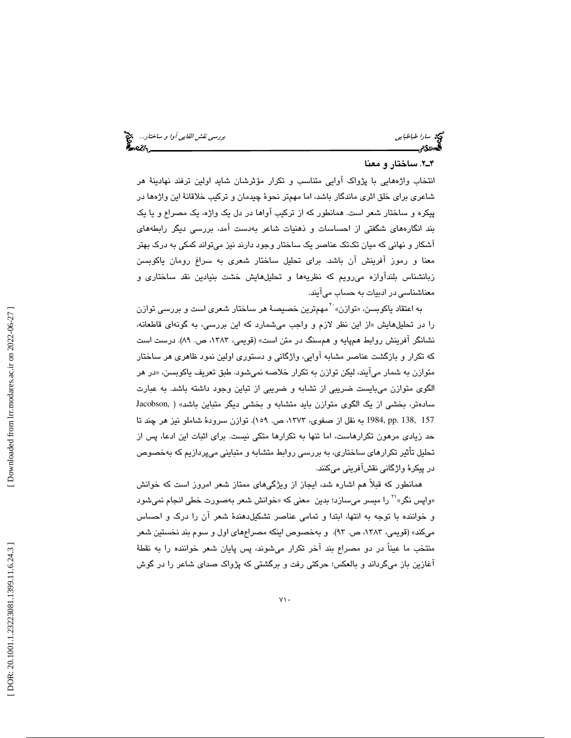سارا طباطبايي بررسي نقش القايي آوا و ساختار...

#### . 2ـ4 ساختار و معنا

انتخاب واژههايي با پژواك آوايي متناسب و تكرار مؤثرشان شايد اولين ترفند نهادينة هر شاعري براي خلق اثري ماندگار باشد، اما مهمتر نحوة چيدمان و تركيب خلاقانة اين واژهها در پيكره و ساختار شعر است. همانطور كه از تركيب آواها در دل يك واژه، يك مصراع و يا يك بند انگارههاي شگفتي از احساسات و ذهنيات شاعر بهدست آمد، بررسي ديگر رابطههاي آشكار و نهاني كه ميان تكتك عناصر يك ساختار وجود دارند نيز ميتواند كمكي به درك بهتر معنا و رموز آفرينش آن باشد. براي تحليل ساختار شعري به سراغ رومان ياكوبسن زبانشناس بلنداوازه مىرويم كه نظريهها و تحليلهايش خشت بنيادين نقد ساختارى و

معناشناسی در ادبیات به حساب میآیند.<br>به اعتقاد یاکوبسن، «توازن» `` مهمترین خصیصهٔ هر ساختار شعری است و بررسی توازن را در تحليلهايش «از اين نظر لازم و واجب ميشمارد كه اين بررسي، به گونهاي قاطعانه، نشانگر آفرينش روابط همپايه و همسنگ در متن است» (قويمي، ،1383 ص. 89). درست است كه تكرار و بازگشت عناصر مشابه آوايي، واژگاني و دستوري اولين نمود ظاهري هر ساختار متوازن به شمار مي|يند، ليكن توازن به تكرار خلاصه نميشود. طبق تعريف ياكوبسن، «در هر الگوي متوازن ميبايست ضريبي از تشابه و ضريبي از تباين وجود داشته باشد. به عبارت سادهتر، بخشي از يک الگوي متوازن بايد متشابه و بخشي ديگر متباين باشد» ( ,Jacobson 157 138, .pp 1984, به نقل از صفوي، ،1373 ص. 159). توازن سرودة شاملو نيز هر چند تا حد زيادي مرهون تكرارهاست، اما تنها به تكرارها متكي نيست. براي اثبات اين ادعا، پس از تحليل تأثير تكرارهاي ساختاري، به بررسي روابط متشابه و متبايني ميپردازيم كه بهخصوص در پيكرة واژگاني نقشآفريني ميكنند.

همانطور كه قبلاً هم اشاره شد، ايجاز از ويژگيهاي ممتاز شعر امروز است كه خوانش «واپس نگر»<sup>۲۱</sup> را میسر میسازد؛ بدین معنی که «خوانش شعر بهصورت خطی انجام نمیشود و خواننده با توجه به انتها، ابتدا و تمامي عناصر تشكيلدهندة شعر آن را درك و احساس ميكند» (قويمي، ،1383 ص. 93). و به خصوص اينكه مصراعهاي اول و سوم بند نخستين شعر منتخب ما عيناً در دو مصراع بند آخر تكرار ميشوند، پس پايان شعر خواننده را به نقط ة آغازين باز ميگرداند و بالعكس؛ حركتي رفت و برگشتي كه پژواك صداي شاعر را در گوش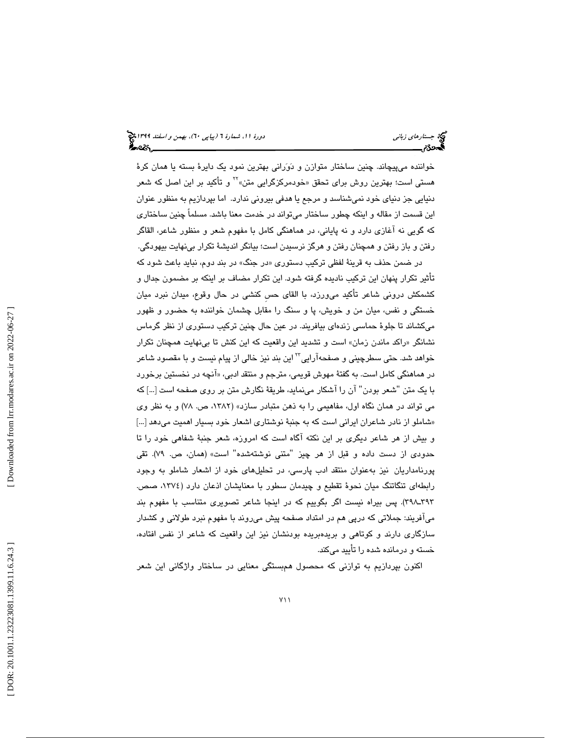خواننده میپيچاند. چنين ساختار متوازن و دَوَرانی بهترين نمود يک دايرهٔ بسته يا همان کرهٔ<br>هستی است؛ بهترين روش برای تحقق «خودمرکزگرايی متن» `` و تأکيد بر اين اصل که شعر دنيايي جز دنياي خود نميشناسد و مرجع يا هدفي بيروني ندارد. اما بپردازيم به منظور عنوان اين قسمت از مقاله و اينكه چطور ساختار ميتواند در خدمت معنا باشد. مسلماً چنين ساختاري كه گويي نه آغازي دارد و نه پاياني، در هماهنگي كامل با مفهوم شعر و منظور شاعر، القاگر رفتن و باز رفتن و همچنان رفتن و هرگز نرسيدن است؛ بيانگر انديشة تكرار بينهايت بيهودگي.

در ضمن حذف به قرينهٔ لفظي تركيب دستوري «در جنگ» در بند دوم، نبايد باعث شود كه تأثير تكرار پنهان اين تركيب ناديده گرفته شود. اين تكرار مضاف بر اينكه بر مضمون جدال و كشمكش دروني شاعر تاكيد مىورزد، با القاى حس كنشى در حال وقوع، ميدان نبرد ميان خستگي و نفس، ميان من و خويش، پا و سنگ را مقابل چشمان خواننده به حضور و ظهور ميكشاند تا جلوة حماسي زندهاي بيافريند. در عين حال چنين تركيب دستوري از نظر گرما س نشانگر «راكد ماندن زمان» است و تشديد اين واقعيت كه اين كنش تا بىنهايت همچنان تكرار خواهد شد. حتی سطرچینی و صفحهآرایی™ این بند نیز خالی از پیام نیست و با مقصود شاعر در هماهنگی کامل است. به گفتهٔ مهوش قویمی، مترجم و منتقد ادبی، «انچه در نخستین برخورد با يک متن "شعر بودن" آن را آشکار مىنمايد، طريقهٔ نگارش متن بر روى صفحه است […] که مي تواند در همان نگاه اول، مفاهيمي را به ذهن متبادر سازد» (،1382 ص. 78) و به نظر وي شاملو از نادر شاعران ايراني است كه به جنبة نوشتاري اشعار خود بسيار اهميت ميدهد [...] » و بيش از هر شاعر ديگري بر اين نكته آگاه است كه امروزه، شعر جنبة شفاهي خود را تا حدودی از دست داده و قبل از هر چیز "متنی نوشتهشده" است» (همان، ص. ۷۹). تقی پورنامداريان نيز بهعنوان منتقد ادب پارسي، در تحليلهاي خود از اشعار شاملو به وجود رابطهاي تنگاتنگ ميان نحوة تقطيع و چيدمان سطور با معنايشان اذعان دارد (،1374 صص. 393ـ398). پس بيراه نيست اگر بگوييم كه در اينجا شاعر تصويري متناسب با مفهوم بند ميآفريند: جملاتي كه درپي هم در امتداد صفحه پيش ميروند با مفهوم نبرد طولاني و كشدار سازگاري دارند و كوتاهي و بريدهبريده بودنشان نيز اين واقعيت كه شاعر از نفس افتاده، خسته و درمانده شده را تأييد ميكند.

اكنون بپردازيم به توازني كه محصول همبستگي معنايي در ساختار واژگاني اين شعر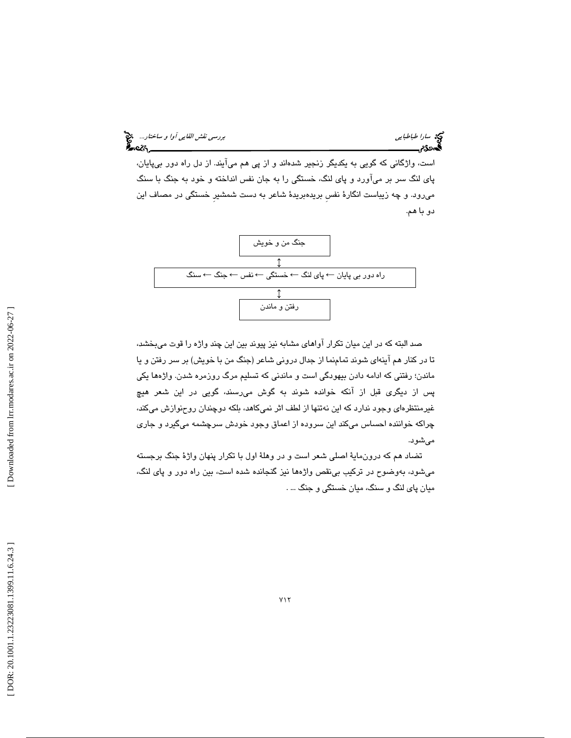سي اسارا طباطبايي بررسي *نقش القايي آوا و ساختار...*<br>جمهوری بررسي *نقش القايي*<br>**پسهوری بررسي بررسي بررسي بررسي نقش القايي بررسي نقش القايي آوا و ساختار...** 

است، واژگاني كه گويي به يكديگر زنجير شدهاند و از پي هم ميآيند. از دل راه دور بيپايان، پاي لنگ سر بر ميآورد و پاي لنگ، خستگي را به جان نفس انداخته و خود به جنگ با سنگ ميرود. و چه زيباست انگارة نفسِ بريدهبريدة شاعر به دست شمشيرِ خستگي در مصاف اين دو با هم.



صد البته كه در اين ميان تكرار آواهاي مشابه نيز پيوند بين اين چند واژه را قوت ميبخشد، تا در كنار هم آ ينهاي شوند تمامنما از جدال دروني شاعر (جنگ من با خويش) بر سر رفتن و يا ماندن؛ رفتني كه ادامه دادن بيهودگي است و ماندني كه تسليم مرگ روزمره شدن. واژهها يكي پس از ديگري قبل از آنكه خوانده شوند به گوش ميرسند، گويي در اين شعر هيچ غيرمنتظرهاي وجود ندارد كه اين نهتنها از لطف اثر نميكاهد ، بلكه دوچندان روحنوازش ميكند، چراكه خواننده احساس ميكند اين سروده از اعماق وجود خودش سرچشمه ميگيرد و جاري ميشود.

تضاد هم كه درونماية اصلي شعر است و در وهلة اول با تكرار پنهان واژة جنگ برجسته ميشود، ب هوضوح در تركيب بينقص واژهها نيز گنجانده شده است، بين راه دور و پاي لنگ، ميان پاي لنگ و سنگ، ميان خستگي و جنگ . ...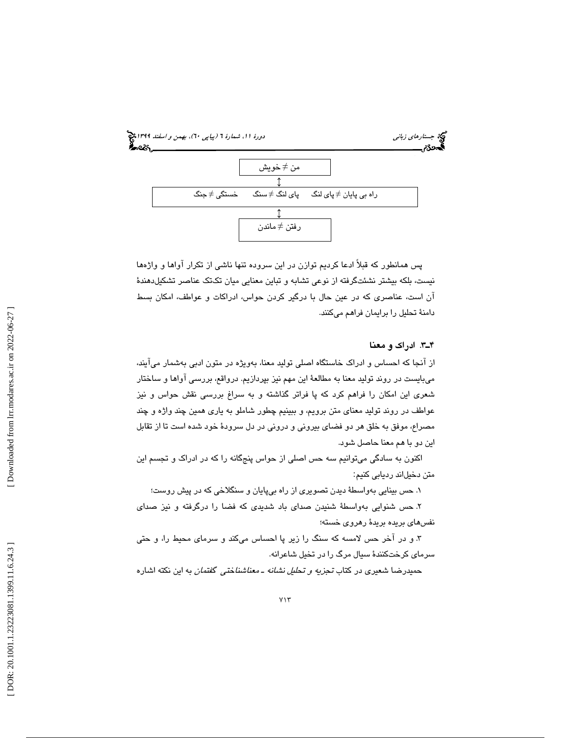

پس همانطور كه قبلاً ادعا كرديم توازن در اين سروده تنها ناشي از تكرار آواها و واژهها نيست، بلكه بيشتر نشئت گرفته از نوعي تشابه و تباين معنايي ميان تكتك عناصر تشكيل دهندهٔ آن است، عناصري كه در عين حال با درگير كردن حواس، ادراكات و عواطف، امكان بسط دامنة تحليل را برايمان فراهم ميكنند.

### . 3ـ4 ادراك و معنا

از آنجا كه احساس و ادراك خاستگاه اصلي توليد معنا، بهويژه در متون ادبي بهشمار ميآيند، ميبايست در روند توليد معنا به مطالعة اين مهم نيز بپردازيم. درواقع، ربر سي آواها و ساختار شعري اين امكان را فراهم كرد كه پا فراتر گذاشته و به سراغ بررسي نقش حواس و نيز عواطف در روند توليد معناي متن برويم، و ببينيم چطور شاملو به ياري همين چند واژه و چند مصراع، موفق به خلق هر دو فضاي بيروني و دروني در دل سرودة خود شده است تا از تقابل اين دو با هم معنا حاصل شود .

اكنون به سادگي ميتوانيم سه حس اصلي از حواس پنجگانه را كه در ادراك و تجسم اين متن دخيلاند رديابي كنيم:

۱. حس بينايي بەواسطۀ ديدن تصويري از راه بيپايان و سنگلاخي كه در پيش روست؛

۲. حس شنوايي بهواسطهٔ شنيدن صدای باد شديدی كه فضا را درگرفته و نيز صدای نفسهاي بريده بريدة رهروي خسته؛

3. و در آخر حس لامسه كه سنگ را زير پا احساس ميكند و سرماي محيط را، و حتي سرماي كرختكنندة سيال مرگ را در تخيل شاعرانه.

حميدرضا شعيري در كتاب تجزيه و تحليل نشانه ـ معناشناختي گفتمان به اين نكته اشاره

Downloaded from lrr.modares.ac.ir on 2022-06-27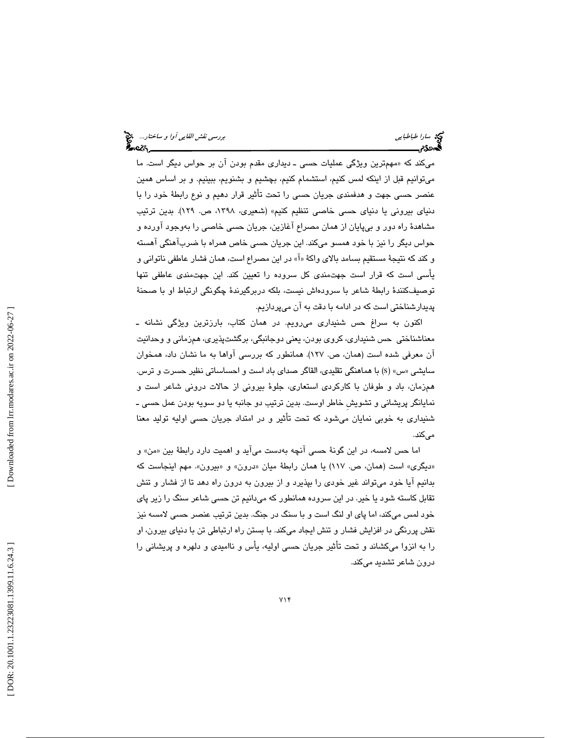میکند که «مهمترین ویژگی عملیات حسی ـ دیداری مقدم بودن ان بر حواس دیگر است. ما ميتوانيم قبل از اينكه لمس كنيم، استشمام كنيم، بچشيم و بشنويم، ببينيم. و بر اساس همين عنصر حسى جهت و هدفمندى جريان حسى را تحت تاثير قرار دهيم و نوع رابطۀ خود را با دنياي بيروني يا دنياي حسي خاصي تنظيم كنيم » (شعيري، ،1398 ص. 129 .) بدين ترتيب مشاهدهٔ راه دور و بیٍپایان از همان مصراع اغازین، جریان حسی خاصی را بهوجود اورده و حواس ديگر را نيز با خود همسو ميكند. اين جريان حسي خاص همراه با ضربآهنگي آهسته و كند كه نتيجة مستقيم بسامد بالاي واكة » آ« در اين مصراع است، همان فشار عاطفي ناتواني و يأسي است كه قرار است جهتمندي كل سروده را تعيين كند. اين جهتمندي عاطفي تنها توصيفكنندهٔ رابطهٔ شاعر با سرودهاش نيست، بلكه دربرگيرندهٔ چگونگي ارتباط او با صحنهٔ پديدارشناختي است كه در ادامه با دقت به آن ميپردازيم.

اكنون به سراغ حس شنيداري ميرويم. در همان كتاب، بارزترين ويژگي نشانه ـ معناشناختي حس شنيداري، كروي بودن، يعني دوجانبگي، برگشتپذيري، همزماني و وحدانيت آن معرفي شده است ( همان، ص. 127 .) همانطور كه بررسي آواها به ما نشان داد، همخوان سايشي «س» (s) با هماهنگي تقليدي، القاگر صداي باد است و احساساتي نظير حسرت و ترس. همزمان، باد و طوفان با كاركردي استعاري، جلوة بيروني از حالات دروني شاعر است و نمايانگر پريشاني و تشويشِ خاطر اوست. بدين ترتيب دو جانبه يا دو سويه بودن عمل حسي ـ شنيداري به خوبي نمايان ميشود كه تحت تأثير و در امتداد جريان حسى اوليه توليد معنا مي كند.

اما حس لامسه، در این گونهٔ حسی انچه بهدست میاید و اهمیت دارد رابطهٔ بین «من» و «دیگری» است (همان، ص. ۱۱۷) یا همان رابطهٔ میان «درون» و «بیرون». مهم اینجاست که بدانيم آيا خود ميتواند غير خودي را بپذيرد و از بيرون به درون راه دهد تا از فشار و تنش تقابل كاسته شود يا خير. در اين سروده همانطور كه ميدانيم تن حسي شاعر سنگ را زير پاي خود لمس ميكند، اما پاي او لنگ است و با سنگ در جنگ. بدين ترتيب عنصر حسي لامسه نيز نقش پررنگي در افزايش فشار و تنش ايجاد ميكند. با بستن راه ارتباطي تن با دنياي بيرون، او را به انزوا ميكشاند و تحت تأثير جريان حسي اوليه، يأس و نااميدي و دلهره و پريشاني را درون شاعر تشديد ميكند.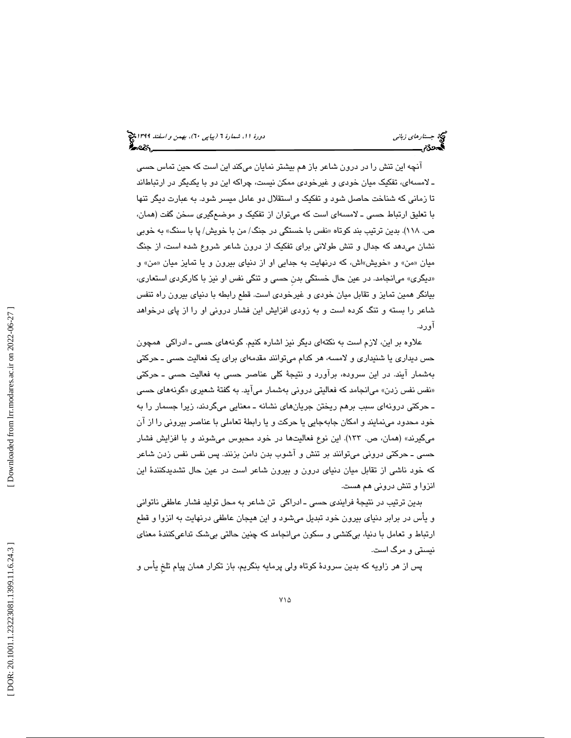آنچه اين تنش را در درون شاعر باز هم بيشتر نمايان ميكند اين است كه حين تماس حسي ـ لامسهای، تفکیک میان خودی و غیرخودی ممکن نیست، چراکه این دو با یکدیگر در ارتباطاند تا زماني كه شناخت حاصل شود و تفكيك و استقلال دو عامل ميسر شود. به عبارت ديگر تنها با تعليق ارتباط حسي ـ لامسهاي است كه ميتوان از تفكيك و موضعگيري سخن گفت (همان، ص. ١١٨). بدين ترتيب بند كوتاه «نفس با خستگي در جنگ/ من با خويش/ پا با سنگ» به خوبي نشان ميدهد كه جدال و تنش طولاني براي تفكيك از درون شاعر شروع شده است، از جنگ میان «من» و «خویش»اش، که درنهایت به جدایی او از دنیای بیرون و یا تمایز میان «من» و ديگري» ميانجامد. در عين حال خستگي بدنِ حسي و تنگي نفس او نيز با كاركردي استعاري، » بيانگر همين تمايز و تقابل ميان خودي و غيرخودي است. قطع رابطه با دنياي بيرون راه تنفس شاعر را بسته و تنگ كرده است و به زودي افزايش اين فشار دروني او را از پاي درخواهد آورد.

علاوه بر اين ، لازم است به نكتهاي ديگر نيز اشاره كنيم. گونههاي حسي ـ ادراكي همچون حس ديداري يا شنيداري و لامسه، هر كدام ميتوانند مقدمهاي براي يك فعاليت حسي ـ حركتي بهشمار آيند. در اين سروده، برآورد و نتيجة كلي عناصر حسي به فعاليت حسي ـ حركتي «نفس نفس زدن» میانجامد که فعالیتی درونی بهشمار میاید. به گفتهٔ شعیری «گونههای حسی ـ حركتي درونهاي سبب برهم ريختن جريانهاي نشانه ـ معنايي ميگردند ، زيرا جسمار را به خود محدود مینمایند و امکان جابهجایی یا حرکت و یا رابطهٔ تعاملی با عناصر بیرونی را از ان ميگيرند» (همان، ص. 133 .) اين نوع فعاليتها در خود محبوس ميشوند و با افزايش فشار حسي ـ حركتي دروني ميتوانند بر تنش و آشوب بدن دامن بزنند. پس نفس نفس زدن شاعر كه خود ناشي از تقابل ميان دنياي درون و بيرون شاعر است در عين حال تشديدكنندة اين انزوا و تنش دروني هم هست.

بدين ترتيب در نتيجهٔ فرايندی حسی ــ ادراکی تن شاعر به محل توليد فشار عاطفی ناتوانی و يأس در برابر دنياي بيرون خود تبديل ميشود و اين هيجان عاطفي درنهايت به انزوا و قطع ارتباط و تعامل با دنيا، بيكنشي و سكون ميانجامد كه چنين حالتي بيشك تداعيكنندة معناي نيستي و مرگ است.

پس از هر زاويه كه بدين سرودة كوتاه ولي پرمايه بنگريم، باز تكرار همان پيام تلخِ يأس و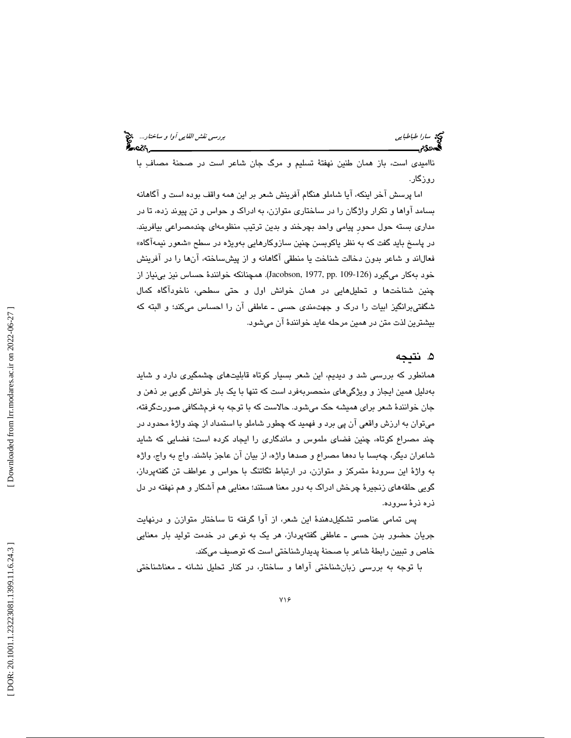| بررس <i>ی نقش القایی آوا و ساختار</i><br><b>پیر</b> دامه |  |
|----------------------------------------------------------|--|
|                                                          |  |

سي س*ارا طباطبايي*<br>**محمد نقش القا**س

نااميدي است، باز همان طنين نهفتهٔ تسليم و مرگ جان شاعر است در صحنهٔ مصاف ِ با روزگار .

اما پرسش آخر اينكه، آيا شاملو هنگام آفرينش شعر بر اين همه واقف بوده است و آگاهانه بسامد آواها و تكرار واژگان را در ساختاري متوازن، به ادراك و حواس و تن پيوند زده، تا در مداري بسته حول محورِ پيامي واحد بچرخند و بدين ترتيب منظومهاي چندمصراعي بيافريند. در پاسخ بايد گفت كه به نظر ياكوبسن چنين سازوكارهايي بهويژه در سطح «شعور نيمهاگاه» ند و شاعر بدون دخالت شناخت يا منطقي آگاهانه و از پيشساخته، آنها را در آفرينش فعالا خود بهكار ميگيرد (126-109 .Jacobson, 1977, pp .109). همچنانكه خوانندهٔ حساس نيز بينياز از چنين شناختها و تحليلهايي در همان خوانش اول و حتي سطحي، ناخودآگاه كمال شگفتيبرانگيز ابيات را درك و جهتمندي حسي ـ عاطفي آن را احساس ميكند؛ و البته كه بيشترين لذت متن در همين مرحله عايد خوانندة آن ميشود.

# . نتيجه 5

همانطور كه بررسي شد و ديديم، اين شعر بسيار كوتاه قابليتهاي چشمگيري دارد و شايد بهدليل همين ايجاز و ويژگيهاي منحصرب هفرد است كه تنها با يك بار خوانش گويي بر ذهن و جان خوانندة شعر براي هميشه حك ميشود. حالاست كه با توجه به فرمشكافي صورتگرفته، ميتوان به ارزش واقعي آن پي برد و فهميد كه چطور شاملو با استمداد از چند واژة محدود در چند مصراع كوتاه، چنين فضاي ملموس و ماندگاري را ايجاد كرده است ؛ فضايي كه شايد شاعران ديگر، چهبسا با دهها مصراع و صدها واژه، از بيان آن عاجز باشند. واج به واج، واژه به واژة اين سرودة متمركز و متوازن، در ارتباط تگاتنگ با حواس و عواطف تن گفتهپرداز، گويي حلقههاي زنجيرة چرخش ادراك به دور معنا هستند؛ معنايي هم آشكار و هم نهفته در دل ذره ذرة سروده.

پس تمامي عناصر تشكيلدهندة اين شعر، از آوا گرفته تا ساختار متوازن و درنهايت جريان حضور بدن حسي ـ عاطفي گفتهپرداز، هر يك به نوعي در خدمت توليد بار معنايي خاص و تبيين رابطة شاعر با صحنة پديدارشناختي است كه توصيف ميكند.

با توجه به بررسي زبانشناختي آواها و ساختار، در كنار تحليل نشانه ـ معناشناختي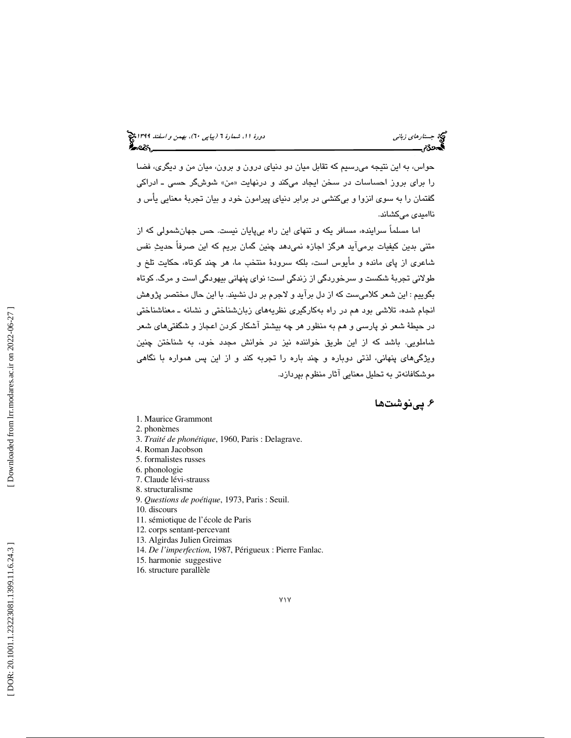حواس، به اين نتيجه ميرسيم كه تقابل ميان دو دنياي درون و برون، ميان من و ديگري، فضا را برای بروز احساسات در سخن ايجاد میكند و درنهايت «من» شوشگر حسی ـ ادراكی گفتمان را به سوي انزوا و بيكنشي در برابر دنياي پيرامون خود و بيان تجربة معنايي يأس و نااميدي ميكشاند.

اما مسلماً سراينده، مسافر يكه و تنهاي اين راه بيپايان نيست. حس جهانشمولي كه از متني بدين كيفيات برميآيد هرگز اجازه نميدهد چنين گمان بريم كه اين صرفاً حديث نفس شاعري از پاي مانده و مأيوس است، بلكه سرودة منتخب ما، هر چند كوتاه، حكايت تلخ و طولاني تجربة شكست و سرخوردگي از زندگي است؛ نواي پنهاني بيهودگي است و مرگ. كوتاه بگوييم : اين شعر كلاميست كه از دل برآيد و لاجرم بر دل نشيند. با اين حال مختصر پژوهش انجام شده، تلاشي بود هم در راه بهكارگيري نظريههاي زبانشناختي و نشانه ـ معناشناختي در حيطة شعر نو پارسي و هم به منظور هر چه بيشتر آشكار كردن اعجاز و شگفتيهاي شعر شاملويي. باشد كه از اين طريق خواننده نيز در خوانش مجدد خود، به شناختن چنين ويژگيهاي پنهاني، لذتي دوباره و چند باره را تجربه كند و از اين پس همواره با نگاهي موشكافانهتر به تحليل معنايي آثار منظوم بپردازد.

. پينوشت ها 6

- 1. Maurice Grammont
- 2. phonèmes
- 3. *Traité de phonétique*, 1960, Paris : Delagrave.
- 4. Roman Jacobson
- 5. formalistes russes
- 6. phonologie
- 7. Claude lévi-strauss
- 8. structuralisme
- 9. *Questions de poétique*, 1973, Paris : Seuil.
- 10. discours
- 11. sémiotique de l'école de Paris
- 12. corps sentant-percevant
- 13. Algirdas Julien Greimas
- 14. *De l'imperfection*, 1987, Périgueux : Pierre Fanlac.
- 15. harmonie suggestive
- 16. structure parallèle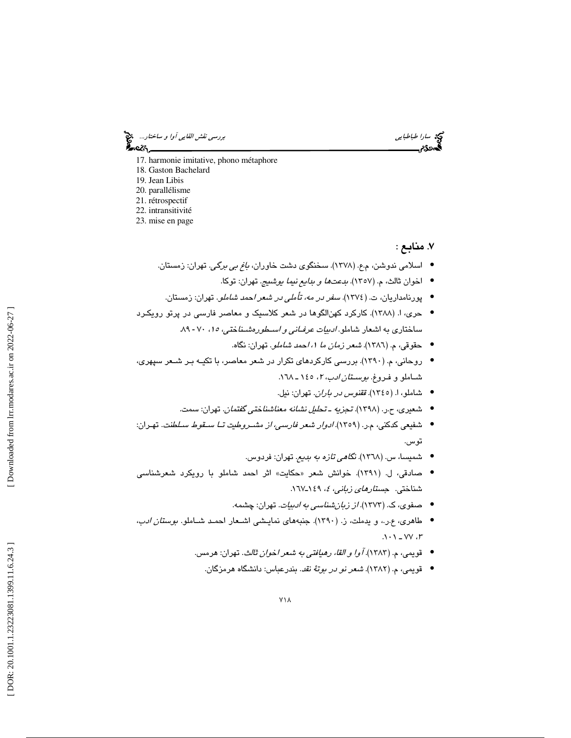سي سارا طباطبايي بررسي *نقش القايي آوا و ساختار...*. چ<mark>ي</mark><br>پهندون بررسي *نقش القايي*<br>پهندون بررسي نقش القايي بررسي نقش القايي بررسي نقش القايي آوا و ساختار... ⊷ટડ

- 
- 17. harmonie imitative, phono métaphore
- 18. Gaston Bachelard
- 19. Jean Libis
- 20. parallélisme
- 21. rétrospectif 22. intransitivité
- 23. mise en page

### 7. منابع :

- اسلامی ندوشن، م.ع. (۱۳۷۸). سخنگوی دشت خاوران*، باغ بی برگی*. تهران: زمستان.
	- اخوان ثالث، م. (١٣٥٧). *بدعتها و بدايع نيما يوشيج*. تهران: توكا.
	- پورنامداريان، ت. (١٣٧٤). *سفر در مه، تأملي در شعر احمد شاملو*. تهران: زمستان.
- حری، ا. (۱۳۸۸). كاركرد كهن|لگوها در شعر كلاسيك و معاصر فارسي در پرتو رويكـرد ساختاری به اشعار شاملو . *ادبيات عرفـاني و اسـطورهشنـناختي، ١٥،* ٧٠ - ٨٩.
	- حقوقي، م. (١٣٨٦). *شعر زمان ما ٠، احمد شاملو*. تهران: نگاه.
- روحاني، م. (١٣٩٠). بررسي كاركردهاي تكرار در شعر معاصر، با تكيـه بـر شـعر سپهري، شــاملو و فـروغ. *بوســتان ادب، ۲*، ۱٤٥ ـ ۱٦٨.
	- شاملو، ا. (١٣٤٥). *ققنوس در باران*. تهران: نيل.
	- شعیری، ح.ر. (۱۳۹۸). تج*زیه ـ تحلیل نشانه معناشنا*خت*ی گفتمان*. تهران: سمت.
- شفيعي كدكني، م.ر. ( 1359 .) ادوار شعر فارسي، از مشـروطيت تـا سـقوط سـلطنت . تهـران: توس.
	- شمیسا، س. (١٣٦٨). *نگا<i>هی تازه به بدیع*. تهران: فردوس.
- صادقی، ل. (۱۳۹۱). خوانش شعر «حکايت» اثر احمد شاملو با رويکرد شعرشناسی شناختی. ج*ستار<i>های زبانی، ٤،* ١٤٩ـ١٦٧.
	- صفوی، ک. (۱۳۷۳). *از زبانشناسی به ادبیات*. تهران: چشمه.
- طاهري، ع.ر.، و يدملت، ز. (١٣٩٠). جنبههاي نمايــشي اشــعار احمـد شـاملو. *بوستان ادب*،  $3 - 1 - 12$ 
	- قويمي، م. (١٣٨٣). *آوا و القا، رهيافتي به شعر اخوان ثالث*. تهران: هرمس.
		- قویمی، م. (۱۳۸۲). *شعر نو در بوتهٔ نقد*. بندرعباس: دانشگاه هرمزگان.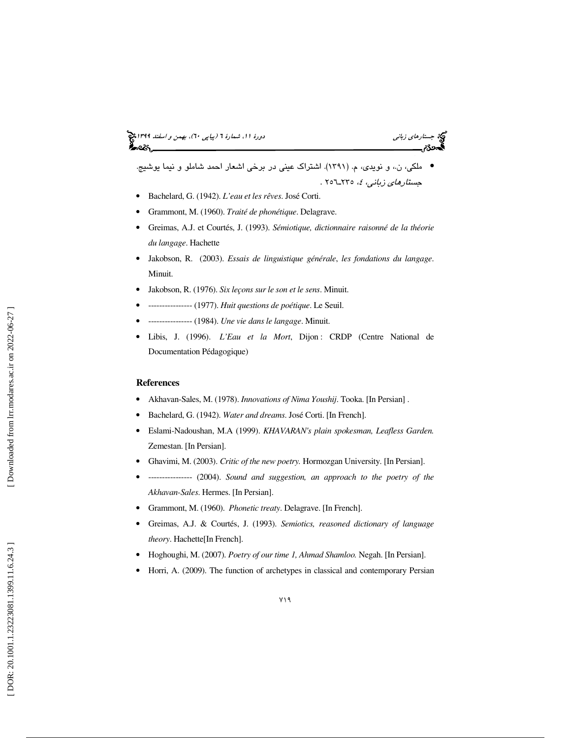# جستار*هاي زباني (بياپي 60)، بهمن و اسفند 1*398 هجرا بياني دورة 11، شمارة 1 (پياپي ٢٠)، بهم*ن و اسفند 1*394 هج

● ملكي، ن.، و نويدي، م. (١٣٩١). اشتراك عيني در برخي اشعار احمد شاملو و نيما يوشيج. جست*ارهای زبانی، ٤،* ٢٣٥ـ٦٥٦ .

- Bachelard, G. (1942). *L'eau et les rêves*. José Corti.
- Grammont, M. (1960). *Traité de phonétique*. Delagrave.
- Greimas, A.J. et Courtés, J. (1993). *Sémiotique, dictionnaire raisonné de la théorie du langage*. Hachette
- Jakobson, R. (2003). *Essais de linguistique générale* , *les fondations du langage*. Minuit.
- Jakobson, R. (1976). *Six leçons sur le son et le sens*. Minuit.
- ---------------- (1977). *Huit questions de poétique*. Le Seuil.
- ---------------- (1984). *Une vie dans le langage*. Minuit.
- Libis, J. (1996). *L'Eau et la Mort*, Dijon : CRDP (Centre National de Documentation Pédagogique)

#### **References**

- Akhavan-Sales, M. (1978). *Innovations of Nima Youshij*. Tooka. [In Persian] .
- Bachelard, G. (1942). *Water and dreams*. José Corti. [In French].
- Eslami-Nadoushan, M.A (1999). *KHAVARAN's plain spokesman, Leafless Garden.* Zemestan. [In Persian].
- Ghavimi, M. (2003). *Critic of the new poetry.* Hormozgan University. [In Persian].
- ---------------- (2004). *Sound and suggestion, an approach to the poetry of the Akhavan-Sales*. Hermes. [In Persian].
- Grammont, M. (1960). *Phonetic treaty*. Delagrave. [In French].
- Greimas, A.J. & Courtés, J. (1993). *Semiotics, reasoned dictionary of language theory*. Hachette[In French].
- Hoghoughi, M. (2007). *Poetry of our time 1, Ahmad Shamloo.* Negah. [In Persian].
- Horri, A. (2009). The function of archetypes in classical and contemporary Persian